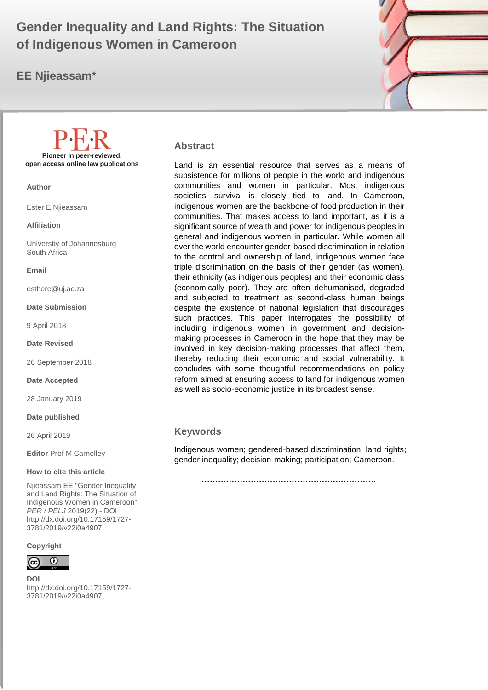# **Gender Inequality and Land Rights: The Situation of Indigenous Women in Cameroon**

## **EE Njieassam\***



**Abstract**

Land is an essential resource that serves as a means of subsistence for millions of people in the world and indigenous communities and women in particular. Most indigenous societies' survival is closely tied to land. In Cameroon, indigenous women are the backbone of food production in their communities. That makes access to land important, as it is a significant source of wealth and power for indigenous peoples in general and indigenous women in particular. While women all over the world encounter gender-based discrimination in relation to the control and ownership of land, indigenous women face triple discrimination on the basis of their gender (as women), their ethnicity (as indigenous peoples) and their economic class (economically poor). They are often dehumanised, degraded and subjected to treatment as second-class human beings despite the existence of national legislation that discourages such practices. This paper interrogates the possibility of including indigenous women in government and decisionmaking processes in Cameroon in the hope that they may be involved in key decision-making processes that affect them, thereby reducing their economic and social vulnerability. It concludes with some thoughtful recommendations on policy reform aimed at ensuring access to land for indigenous women as well as socio-economic justice in its broadest sense.

#### **Keywords**

Indigenous women; gendered-based discrimination; land rights; gender inequality; decision-making; participation; Cameroon.

 **……………………………………………………….**

**Pioneer in peer-reviewed, open access online law publications**

**Author**

Ester E Njieassam

**Affiliation**

University of Johannesburg South Africa

**Email**

esthere@uj.ac.za

**Date Submission**

9 April 2018

**Date Revised**

26 September 2018

**Date Accepted**

28 January 2019

**Date published**

26 April 2019

**Editor** Prof M Carnelley

#### **How to cite this article**

Njieassam EE "Gender Inequality and Land Rights: The Situation of Indigenous Women in Cameroon" *PER / PELJ* 2019(22) - DOI http://dx.doi.org/10.17159/1727- 3781/2019/v22i0a4907

**Copyright**



**DOI**  http://dx.doi.org/10.17159/1727- 3781/2019/v22i0a4907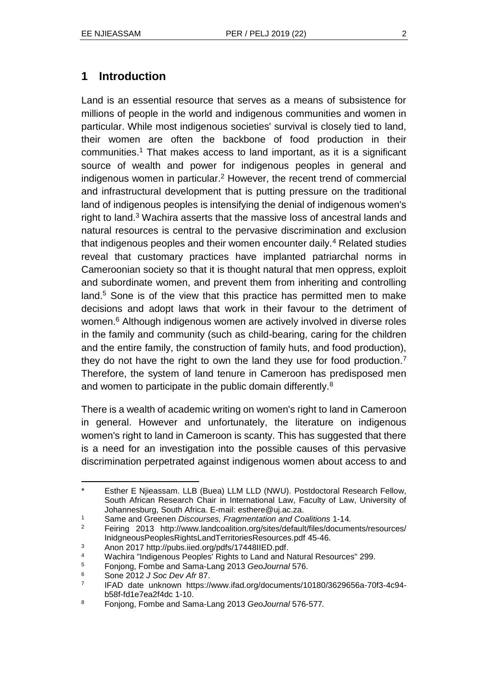# **1 Introduction**

Land is an essential resource that serves as a means of subsistence for millions of people in the world and indigenous communities and women in particular. While most indigenous societies' survival is closely tied to land, their women are often the backbone of food production in their communities.<sup>1</sup> That makes access to land important, as it is a significant source of wealth and power for indigenous peoples in general and indigenous women in particular.<sup>2</sup> However, the recent trend of commercial and infrastructural development that is putting pressure on the traditional land of indigenous peoples is intensifying the denial of indigenous women's right to land.<sup>3</sup> Wachira asserts that the massive loss of ancestral lands and natural resources is central to the pervasive discrimination and exclusion that indigenous peoples and their women encounter daily.<sup>4</sup> Related studies reveal that customary practices have implanted patriarchal norms in Cameroonian society so that it is thought natural that men oppress, exploit and subordinate women, and prevent them from inheriting and controlling land.<sup>5</sup> Sone is of the view that this practice has permitted men to make decisions and adopt laws that work in their favour to the detriment of women.<sup>6</sup> Although indigenous women are actively involved in diverse roles in the family and community (such as child-bearing, caring for the children and the entire family, the construction of family huts, and food production), they do not have the right to own the land they use for food production.<sup>7</sup> Therefore, the system of land tenure in Cameroon has predisposed men and women to participate in the public domain differently.<sup>8</sup>

There is a wealth of academic writing on women's right to land in Cameroon in general. However and unfortunately, the literature on indigenous women's right to land in Cameroon is scanty. This has suggested that there is a need for an investigation into the possible causes of this pervasive discrimination perpetrated against indigenous women about access to and

l Esther E Njieassam. LLB (Buea) LLM LLD (NWU). Postdoctoral Research Fellow, South African Research Chair in International Law, Faculty of Law, University of Johannesburg, South Africa. E-mail: esthere@uj.ac.za.

<sup>1</sup> Same and Greenen *Discourses, Fragmentation and Coalitions* 1-14*.*

<sup>2</sup> Feiring 2013 http://www.landcoalition.org/sites/default/files/documents/resources/ InidgneousPeoplesRightsLandTerritoriesResources.pdf 45-46.

<sup>3</sup> Anon 2017 http://pubs.iied.org/pdfs/17448IIED.pdf.

<sup>4</sup> Wachira "Indigenous Peoples' Rights to Land and Natural Resources" 299.

<sup>5</sup> Fonjong, Fombe and Sama-Lang 2013 *GeoJournal* 576.

<sup>6</sup> Sone 2012 *J Soc Dev Afr* 87.

<sup>7</sup> IFAD date unknown https://www.ifad.org/documents/10180/3629656a-70f3-4c94 b58f-fd1e7ea2f4dc 1-10.

<sup>8</sup> Fonjong, Fombe and Sama-Lang 2013 *GeoJournal* 576-577*.*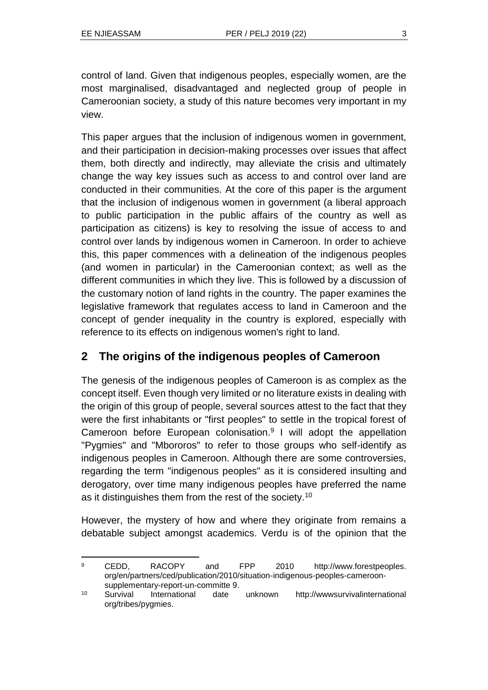control of land. Given that indigenous peoples, especially women, are the most marginalised, disadvantaged and neglected group of people in Cameroonian society, a study of this nature becomes very important in my view.

This paper argues that the inclusion of indigenous women in government, and their participation in decision-making processes over issues that affect them, both directly and indirectly, may alleviate the crisis and ultimately change the way key issues such as access to and control over land are conducted in their communities. At the core of this paper is the argument that the inclusion of indigenous women in government (a liberal approach to public participation in the public affairs of the country as well as participation as citizens) is key to resolving the issue of access to and control over lands by indigenous women in Cameroon. In order to achieve this, this paper commences with a delineation of the indigenous peoples (and women in particular) in the Cameroonian context; as well as the different communities in which they live. This is followed by a discussion of the customary notion of land rights in the country. The paper examines the legislative framework that regulates access to land in Cameroon and the concept of gender inequality in the country is explored, especially with reference to its effects on indigenous women's right to land.

### **2 The origins of the indigenous peoples of Cameroon**

The genesis of the indigenous peoples of Cameroon is as complex as the concept itself. Even though very limited or no literature exists in dealing with the origin of this group of people, several sources attest to the fact that they were the first inhabitants or "first peoples" to settle in the tropical forest of Cameroon before European colonisation.<sup>9</sup> I will adopt the appellation "Pygmies" and "Mbororos" to refer to those groups who self-identify as indigenous peoples in Cameroon. Although there are some controversies, regarding the term "indigenous peoples" as it is considered insulting and derogatory, over time many indigenous peoples have preferred the name as it distinguishes them from the rest of the society.<sup>10</sup>

However, the mystery of how and where they originate from remains a debatable subject amongst academics. Verdu is of the opinion that the

l <sup>9</sup> CEDD, RACOPY and FPP 2010 http://www.forestpeoples. org/en/partners/ced/publication/2010/situation-indigenous-peoples-cameroonsupplementary-report-un-committe 9.

<sup>10</sup> Survival International date unknown http://wwwsurvivalinternational org/tribes/pygmies.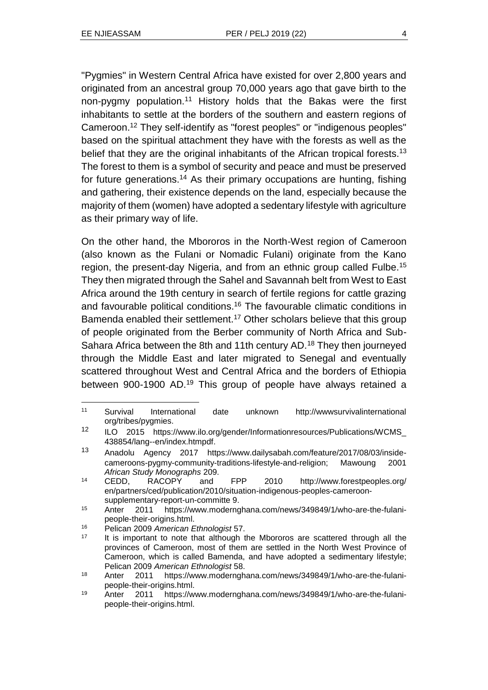l

"Pygmies" in Western Central Africa have existed for over 2,800 years and originated from an ancestral group 70,000 years ago that gave birth to the non-pygmy population.<sup>11</sup> History holds that the Bakas were the first inhabitants to settle at the borders of the southern and eastern regions of Cameroon.<sup>12</sup> They self-identify as "forest peoples" or "indigenous peoples" based on the spiritual attachment they have with the forests as well as the belief that they are the original inhabitants of the African tropical forests.<sup>13</sup> The forest to them is a symbol of security and peace and must be preserved for future generations.<sup>14</sup> As their primary occupations are hunting, fishing and gathering, their existence depends on the land, especially because the majority of them (women) have adopted a sedentary lifestyle with agriculture as their primary way of life.

On the other hand, the Mbororos in the North-West region of Cameroon (also known as the Fulani or Nomadic Fulani) originate from the Kano region, the present-day Nigeria, and from an ethnic group called Fulbe.<sup>15</sup> They then migrated through the Sahel and Savannah belt from West to East Africa around the 19th century in search of fertile regions for cattle grazing and favourable political conditions.<sup>16</sup> The favourable climatic conditions in Bamenda enabled their settlement.<sup>17</sup> Other scholars believe that this group of people originated from the Berber community of North Africa and Sub-Sahara Africa between the 8th and 11th century AD.<sup>18</sup> They then journeyed through the Middle East and later migrated to Senegal and eventually scattered throughout West and Central Africa and the borders of Ethiopia between 900-1900 AD.<sup>19</sup> This group of people have always retained a

<sup>11</sup> Survival International date unknown http://wwwsurvivalinternational org/tribes/pygmies.

<sup>12</sup> ILO 2015 https://www.ilo.org/gender/Informationresources/Publications/WCMS\_ 438854/lang--en/index.htmpdf.

<sup>13</sup> Anadolu Agency 2017 https://www.dailysabah.com/feature/2017/08/03/insidecameroons-pygmy-community-traditions-lifestyle-and-religion; Mawoung 2001 *African Study Monographs* 209.

<sup>14</sup> CEDD, RACOPY and FPP 2010 http://www.forestpeoples.org/ en/partners/ced/publication/2010/situation-indigenous-peoples-cameroonsupplementary-report-un-committe 9.

<sup>15</sup> Anter 2011 https://www.modernghana.com/news/349849/1/who-are-the-fulanipeople-their-origins.html.

<sup>16</sup> Pelican 2009 *American Ethnologist* 57.

It is important to note that although the Mbororos are scattered through all the provinces of Cameroon, most of them are settled in the North West Province of Cameroon, which is called Bamenda, and have adopted a sedimentary lifestyle; Pelican 2009 *American Ethnologist* 58.

<sup>18</sup> Anter 2011 https://www.modernghana.com/news/349849/1/who-are-the-fulanipeople-their-origins.html.

<sup>19</sup> Anter 2011 https://www.modernghana.com/news/349849/1/who-are-the-fulanipeople-their-origins.html.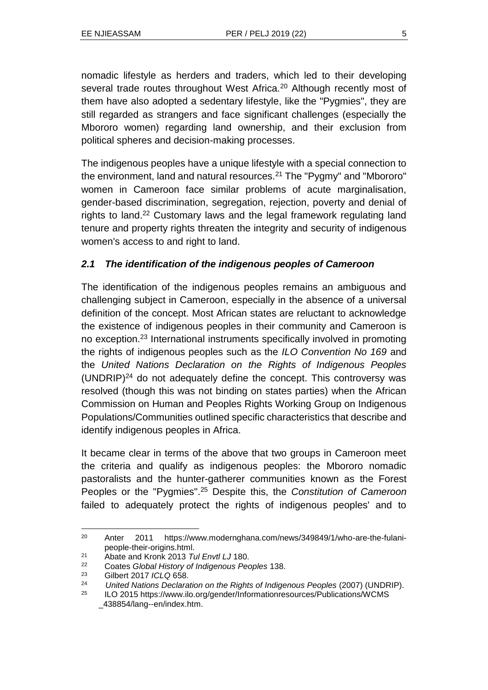nomadic lifestyle as herders and traders, which led to their developing several trade routes throughout West Africa.<sup>20</sup> Although recently most of them have also adopted a sedentary lifestyle, like the "Pygmies", they are still regarded as strangers and face significant challenges (especially the Mbororo women) regarding land ownership, and their exclusion from political spheres and decision-making processes.

The indigenous peoples have a unique lifestyle with a special connection to the environment, land and natural resources.<sup>21</sup> The "Pygmy" and "Mbororo" women in Cameroon face similar problems of acute marginalisation, gender-based discrimination, segregation, rejection, poverty and denial of rights to land.<sup>22</sup> Customary laws and the legal framework regulating land tenure and property rights threaten the integrity and security of indigenous women's access to and right to land.

#### *2.1 The identification of the indigenous peoples of Cameroon*

The identification of the indigenous peoples remains an ambiguous and challenging subject in Cameroon, especially in the absence of a universal definition of the concept. Most African states are reluctant to acknowledge the existence of indigenous peoples in their community and Cameroon is no exception.<sup>23</sup> International instruments specifically involved in promoting the rights of indigenous peoples such as the *ILO Convention No 169* and the *United Nations Declaration on the Rights of Indigenous Peoples*  $(UNDRIP)^{24}$  do not adequately define the concept. This controversy was resolved (though this was not binding on states parties) when the African Commission on Human and Peoples Rights Working Group on Indigenous Populations/Communities outlined specific characteristics that describe and identify indigenous peoples in Africa.

It became clear in terms of the above that two groups in Cameroon meet the criteria and qualify as indigenous peoples: the Mbororo nomadic pastoralists and the hunter-gatherer communities known as the Forest Peoples or the "Pygmies".<sup>25</sup> Despite this, the *Constitution of Cameroon* failed to adequately protect the rights of indigenous peoples' and to

<sup>20</sup> Anter 2011 https://www.modernghana.com/news/349849/1/who-are-the-fulanipeople-their-origins.html.

<sup>21</sup> Abate and Kronk 2013 *Tul Envtl LJ* 180.

<sup>22</sup> Coates *Global History of Indigenous Peoples* 138.

<sup>23</sup> Gilbert 2017 *ICLQ* 658.

<sup>24</sup> *United Nations Declaration on the Rights of Indigenous Peoples* (2007) (UNDRIP).

<sup>25</sup> ILO 2015 https://www.ilo.org/gender/Informationresources/Publications/WCMS \_438854/lang--en/index.htm.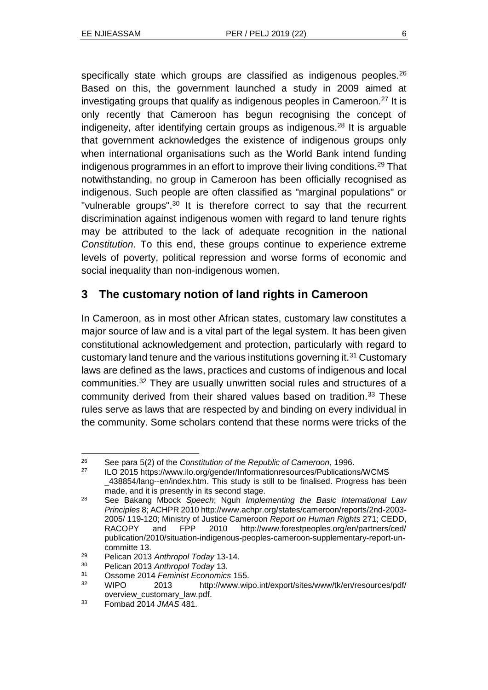specifically state which groups are classified as indigenous peoples.<sup>26</sup> Based on this, the government launched a study in 2009 aimed at investigating groups that qualify as indigenous peoples in Cameroon.<sup>27</sup> It is only recently that Cameroon has begun recognising the concept of indigeneity, after identifying certain groups as indigenous.<sup>28</sup> It is arguable that government acknowledges the existence of indigenous groups only when international organisations such as the World Bank intend funding indigenous programmes in an effort to improve their living conditions.<sup>29</sup> That notwithstanding, no group in Cameroon has been officially recognised as indigenous. Such people are often classified as "marginal populations" or "vulnerable groups".<sup>30</sup> It is therefore correct to say that the recurrent discrimination against indigenous women with regard to land tenure rights may be attributed to the lack of adequate recognition in the national *Constitution*. To this end, these groups continue to experience extreme levels of poverty, political repression and worse forms of economic and social inequality than non-indigenous women.

### **3 The customary notion of land rights in Cameroon**

In Cameroon, as in most other African states, customary law constitutes a major source of law and is a vital part of the legal system. It has been given constitutional acknowledgement and protection, particularly with regard to customary land tenure and the various institutions governing it.<sup>31</sup> Customary laws are defined as the laws, practices and customs of indigenous and local communities.<sup>32</sup> They are usually unwritten social rules and structures of a community derived from their shared values based on tradition.<sup>33</sup> These rules serve as laws that are respected by and binding on every individual in the community. Some scholars contend that these norms were tricks of the

<sup>26</sup> See para 5(2) of the *Constitution of the Republic of Cameroon*, 1996.

ILO 2015 https://www.ilo.org/gender/Informationresources/Publications/WCMS \_438854/lang--en/index.htm. This study is still to be finalised. Progress has been made, and it is presently in its second stage.

<sup>28</sup> See Bakang Mbock *Speech*; Nguh *Implementing the Basic International Law Principles* 8; ACHPR 2010 http://www.achpr.org/states/cameroon/reports/2nd-2003- 2005/ 119-120; Ministry of Justice Cameroon *Report on Human Rights* 271; CEDD, RACOPY and FPP 2010 http://www.forestpeoples.org/en/partners/ced/ publication/2010/situation-indigenous-peoples-cameroon-supplementary-report-uncommitte 13.

<sup>29</sup> Pelican 2013 *Anthropol Today* 13-14.

<sup>30</sup> Pelican 2013 *Anthropol Today* 13.

<sup>31</sup> Ossome 2014 *Feminist Economics* 155.

<sup>32</sup> WIPO 2013 http://www.wipo.int/export/sites/www/tk/en/resources/pdf/ overview\_customary\_law.pdf.

<sup>33</sup> Fombad 2014 *JMAS* 481.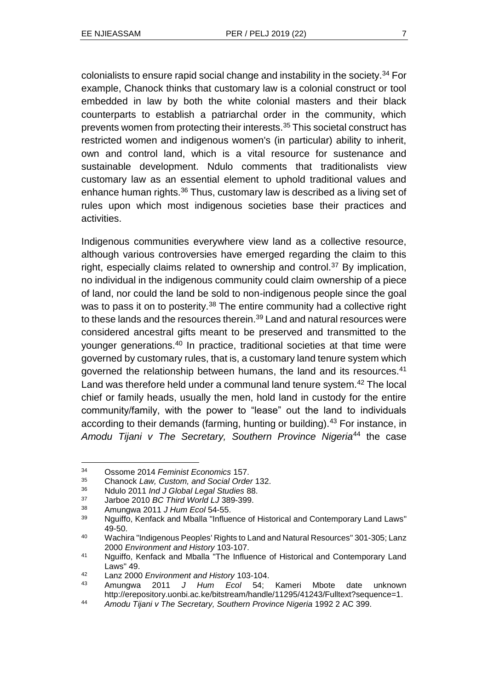colonialists to ensure rapid social change and instability in the society.<sup>34</sup> For example, Chanock thinks that customary law is a colonial construct or tool embedded in law by both the white colonial masters and their black counterparts to establish a patriarchal order in the community, which prevents women from protecting their interests.<sup>35</sup> This societal construct has restricted women and indigenous women's (in particular) ability to inherit, own and control land, which is a vital resource for sustenance and sustainable development. Ndulo comments that traditionalists view customary law as an essential element to uphold traditional values and enhance human rights.<sup>36</sup> Thus, customary law is described as a living set of rules upon which most indigenous societies base their practices and activities.

Indigenous communities everywhere view land as a collective resource, although various controversies have emerged regarding the claim to this right, especially claims related to ownership and control.<sup>37</sup> By implication, no individual in the indigenous community could claim ownership of a piece of land, nor could the land be sold to non-indigenous people since the goal was to pass it on to posterity.<sup>38</sup> The entire community had a collective right to these lands and the resources therein.<sup>39</sup> Land and natural resources were considered ancestral gifts meant to be preserved and transmitted to the younger generations.<sup>40</sup> In practice, traditional societies at that time were governed by customary rules, that is, a customary land tenure system which governed the relationship between humans, the land and its resources.<sup>41</sup> Land was therefore held under a communal land tenure system.<sup>42</sup> The local chief or family heads, usually the men, hold land in custody for the entire community/family, with the power to "lease" out the land to individuals according to their demands (farming, hunting or building).<sup>43</sup> For instance, in *Amodu Tijani v The Secretary, Southern Province Nigeria*<sup>44</sup> the case

<sup>34</sup> Ossome 2014 *Feminist Economics* 157.

<sup>35</sup> Chanock *Law, Custom, and Social Order* 132.

<sup>36</sup> Ndulo 2011 *Ind J Global Legal Studies* 88.

<sup>37</sup> Jarboe 2010 *BC Third World LJ* 389-399.

<sup>38</sup> Amungwa 2011 *J Hum Ecol* 54-55.

<sup>&</sup>lt;sup>39</sup> Nguiffo, Kenfack and Mballa "Influence of Historical and Contemporary Land Laws" 49-50.

<sup>40</sup> Wachira "Indigenous Peoples' Rights to Land and Natural Resources" 301-305; Lanz 2000 *Environment and History* 103-107.

<sup>41</sup> Nguiffo, Kenfack and Mballa "The Influence of Historical and Contemporary Land Laws" 49.

<sup>42</sup> Lanz 2000 *Environment and History* 103-104.

<sup>43</sup> Amungwa 2011 *J Hum Ecol* 54; Kameri Mbote date unknown http://erepository.uonbi.ac.ke/bitstream/handle/11295/41243/Fulltext?sequence=1.

<sup>44</sup> *Amodu Tijani v The Secretary, Southern Province Nigeria* 1992 2 AC 399.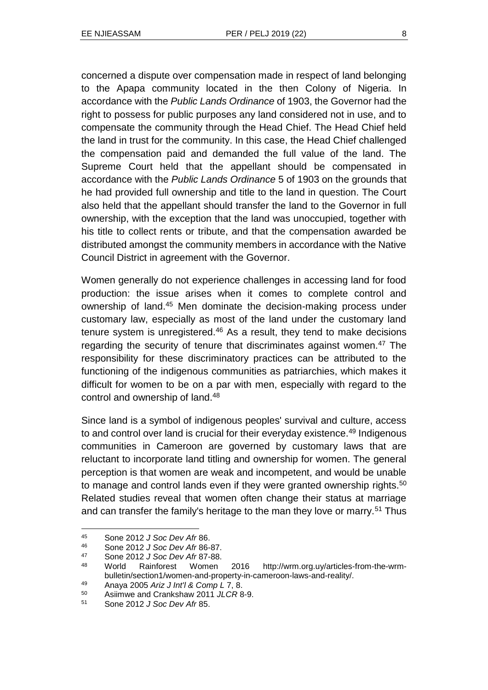concerned a dispute over compensation made in respect of land belonging to the Apapa community located in the then Colony of Nigeria. In accordance with the *Public Lands Ordinance* of 1903, the Governor had the right to possess for public purposes any land considered not in use, and to compensate the community through the Head Chief. The Head Chief held the land in trust for the community. In this case, the Head Chief challenged the compensation paid and demanded the full value of the land. The Supreme Court held that the appellant should be compensated in accordance with the *Public Lands Ordinance* 5 of 1903 on the grounds that he had provided full ownership and title to the land in question. The Court also held that the appellant should transfer the land to the Governor in full ownership, with the exception that the land was unoccupied, together with his title to collect rents or tribute, and that the compensation awarded be distributed amongst the community members in accordance with the Native Council District in agreement with the Governor.

Women generally do not experience challenges in accessing land for food production: the issue arises when it comes to complete control and ownership of land.<sup>45</sup> Men dominate the decision-making process under customary law, especially as most of the land under the customary land tenure system is unregistered. $46$  As a result, they tend to make decisions regarding the security of tenure that discriminates against women.<sup>47</sup> The responsibility for these discriminatory practices can be attributed to the functioning of the indigenous communities as patriarchies, which makes it difficult for women to be on a par with men, especially with regard to the control and ownership of land.<sup>48</sup>

Since land is a symbol of indigenous peoples' survival and culture, access to and control over land is crucial for their everyday existence.<sup>49</sup> Indigenous communities in Cameroon are governed by customary laws that are reluctant to incorporate land titling and ownership for women. The general perception is that women are weak and incompetent, and would be unable to manage and control lands even if they were granted ownership rights.<sup>50</sup> Related studies reveal that women often change their status at marriage and can transfer the family's heritage to the man they love or marry.<sup>51</sup> Thus

<sup>45</sup> Sone 2012 *J Soc Dev Afr* 86.

<sup>46</sup> Sone 2012 *J Soc Dev Afr* 86-87.

<sup>47</sup> Sone 2012 *J Soc Dev Afr* 87-88.

<sup>48</sup> World Rainforest Women 2016 http://wrm.org.uy/articles-from-the-wrmbulletin/section1/women-and-property-in-cameroon-laws-and-reality/.

<sup>49</sup> Anaya 2005 *Ariz J Int'l & Comp L* 7, 8.

<sup>50</sup> Asiimwe and Crankshaw 2011 *JLCR* 8-9.

<sup>51</sup> Sone 2012 *J Soc Dev Afr* 85.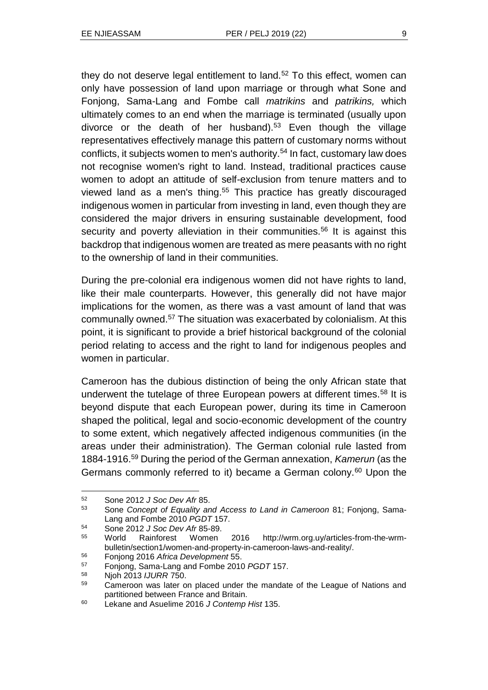they do not deserve legal entitlement to land. $52$  To this effect, women can only have possession of land upon marriage or through what Sone and Fonjong, Sama-Lang and Fombe call *matrikins* and *patrikins,* which ultimately comes to an end when the marriage is terminated (usually upon divorce or the death of her husband).<sup>53</sup> Even though the village representatives effectively manage this pattern of customary norms without conflicts, it subjects women to men's authority.<sup>54</sup> In fact, customary law does not recognise women's right to land. Instead, traditional practices cause women to adopt an attitude of self-exclusion from tenure matters and to viewed land as a men's thing.<sup>55</sup> This practice has greatly discouraged indigenous women in particular from investing in land, even though they are considered the major drivers in ensuring sustainable development, food security and poverty alleviation in their communities.<sup>56</sup> It is against this backdrop that indigenous women are treated as mere peasants with no right to the ownership of land in their communities.

During the pre-colonial era indigenous women did not have rights to land, like their male counterparts. However, this generally did not have major implications for the women, as there was a vast amount of land that was communally owned.<sup>57</sup> The situation was exacerbated by colonialism. At this point, it is significant to provide a brief historical background of the colonial period relating to access and the right to land for indigenous peoples and women in particular.

Cameroon has the dubious distinction of being the only African state that underwent the tutelage of three European powers at different times.<sup>58</sup> It is beyond dispute that each European power, during its time in Cameroon shaped the political, legal and socio-economic development of the country to some extent, which negatively affected indigenous communities (in the areas under their administration). The German colonial rule lasted from 1884-1916.<sup>59</sup> During the period of the German annexation, *Kamerun* (as the Germans commonly referred to it) became a German colony.<sup>60</sup> Upon the

 $\overline{a}$ 

<sup>54</sup> Sone 2012 *J Soc Dev Afr* 85-89.

<sup>56</sup> Fonjong 2016 *Africa Development* 55.

<sup>52</sup> Sone 2012 *J Soc Dev Afr* 85.

<sup>53</sup> Sone *Concept of Equality and Access to Land in Cameroon* 81; Fonjong, Sama-Lang and Fombe 2010 *PGDT* 157.

<sup>55</sup> World Rainforest Women 2016 http://wrm.org.uy/articles-from-the-wrmbulletin/section1/women-and-property-in-cameroon-laws-and-reality/.

<sup>57</sup> Fonjong, Sama-Lang and Fombe 2010 *PGDT* 157.

<sup>58</sup> Njoh 2013 *IJURR* 750.

<sup>&</sup>lt;sup>59</sup> Cameroon was later on placed under the mandate of the League of Nations and partitioned between France and Britain.

<sup>60</sup> Lekane and Asuelime 2016 *J Contemp Hist* 135.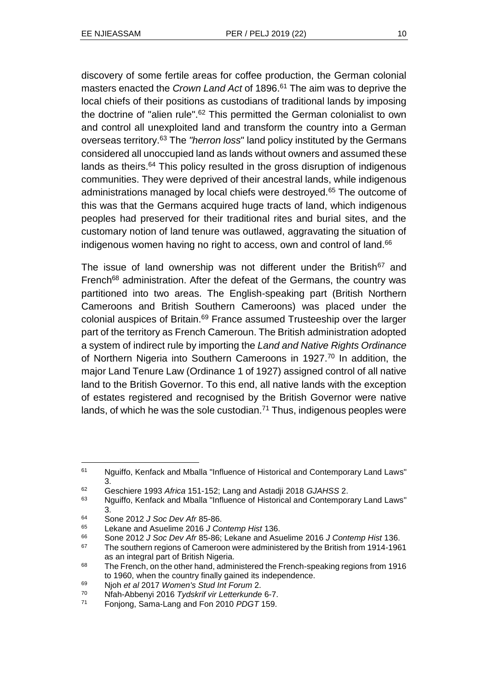discovery of some fertile areas for coffee production, the German colonial masters enacted the *Crown Land Act* of 1896.<sup>61</sup> The aim was to deprive the local chiefs of their positions as custodians of traditional lands by imposing the doctrine of "alien rule".<sup>62</sup> This permitted the German colonialist to own and control all unexploited land and transform the country into a German overseas territory.<sup>63</sup> The *"herron loss*" land policy instituted by the Germans considered all unoccupied land as lands without owners and assumed these lands as theirs.<sup>64</sup> This policy resulted in the gross disruption of indigenous communities. They were deprived of their ancestral lands, while indigenous administrations managed by local chiefs were destroyed.<sup>65</sup> The outcome of this was that the Germans acquired huge tracts of land, which indigenous peoples had preserved for their traditional rites and burial sites, and the customary notion of land tenure was outlawed, aggravating the situation of indigenous women having no right to access, own and control of land.<sup>66</sup>

The issue of land ownership was not different under the British<sup>67</sup> and French<sup>68</sup> administration. After the defeat of the Germans, the country was partitioned into two areas. The English-speaking part (British Northern Cameroons and British Southern Cameroons) was placed under the colonial auspices of Britain.<sup>69</sup> France assumed Trusteeship over the larger part of the territory as French Cameroun. The British administration adopted a system of indirect rule by importing the *Land and Native Rights Ordinance* of Northern Nigeria into Southern Cameroons in 1927.<sup>70</sup> In addition, the major Land Tenure Law (Ordinance 1 of 1927) assigned control of all native land to the British Governor. To this end, all native lands with the exception of estates registered and recognised by the British Governor were native lands, of which he was the sole custodian.<sup>71</sup> Thus, indigenous peoples were

<sup>&</sup>lt;sup>61</sup> Nguiffo, Kenfack and Mballa "Influence of Historical and Contemporary Land Laws" 3.

<sup>62</sup> Geschiere 1993 *Africa* 151-152; Lang and Astadji 2018 *GJAHSS* 2.

<sup>&</sup>lt;sup>63</sup> Nguiffo, Kenfack and Mballa "Influence of Historical and Contemporary Land Laws" 3.

<sup>64</sup> Sone 2012 *J Soc Dev Afr* 85-86.

<sup>65</sup> Lekane and Asuelime 2016 *J Contemp Hist* 136.

<sup>66</sup> Sone 2012 *J Soc Dev Afr* 85-86; Lekane and Asuelime 2016 *J Contemp Hist* 136.

 $67$  The southern regions of Cameroon were administered by the British from 1914-1961 as an integral part of British Nigeria.

<sup>&</sup>lt;sup>68</sup> The French, on the other hand, administered the French-speaking regions from 1916 to 1960, when the country finally gained its independence.

<sup>69</sup> Njoh *et al* 2017 *Women's Stud Int Forum* 2.

<sup>70</sup> Nfah-Abbenyi 2016 *Tydskrif vir Letterkunde* 6-7.

<sup>71</sup> Fonjong, Sama-Lang and Fon 2010 *PDGT* 159.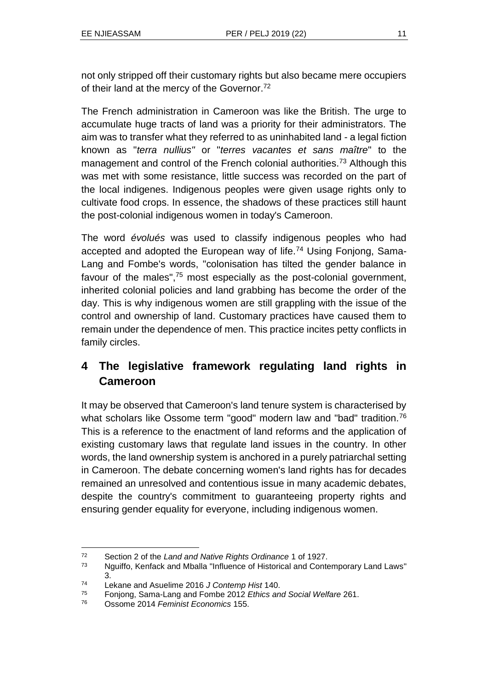not only stripped off their customary rights but also became mere occupiers of their land at the mercy of the Governor.<sup>72</sup>

The French administration in Cameroon was like the British. The urge to accumulate huge tracts of land was a priority for their administrators. The aim was to transfer what they referred to as uninhabited land - a legal fiction known as "*terra nullius"* or "*terres vacantes et sans maître*" to the management and control of the French colonial authorities.<sup>73</sup> Although this was met with some resistance, little success was recorded on the part of the local indigenes. Indigenous peoples were given usage rights only to cultivate food crops. In essence, the shadows of these practices still haunt the post-colonial indigenous women in today's Cameroon.

The word *évolués* was used to classify indigenous peoples who had accepted and adopted the European way of life.<sup>74</sup> Using Fonjong, Sama-Lang and Fombe's words, "colonisation has tilted the gender balance in favour of the males",<sup>75</sup> most especially as the post-colonial government, inherited colonial policies and land grabbing has become the order of the day. This is why indigenous women are still grappling with the issue of the control and ownership of land. Customary practices have caused them to remain under the dependence of men. This practice incites petty conflicts in family circles.

# **4 The legislative framework regulating land rights in Cameroon**

It may be observed that Cameroon's land tenure system is characterised by what scholars like Ossome term "good" modern law and "bad" tradition.<sup>76</sup> This is a reference to the enactment of land reforms and the application of existing customary laws that regulate land issues in the country. In other words, the land ownership system is anchored in a purely patriarchal setting in Cameroon. The debate concerning women's land rights has for decades remained an unresolved and contentious issue in many academic debates, despite the country's commitment to guaranteeing property rights and ensuring gender equality for everyone, including indigenous women.

<sup>72</sup> Section 2 of the *Land and Native Rights Ordinance* 1 of 1927.

<sup>73</sup> Nguiffo, Kenfack and Mballa "Influence of Historical and Contemporary Land Laws" 3.

<sup>74</sup> Lekane and Asuelime 2016 *J Contemp Hist* 140.

<sup>75</sup> Fonjong, Sama-Lang and Fombe 2012 *Ethics and Social Welfare* 261.

<sup>76</sup> Ossome 2014 *Feminist Economics* 155.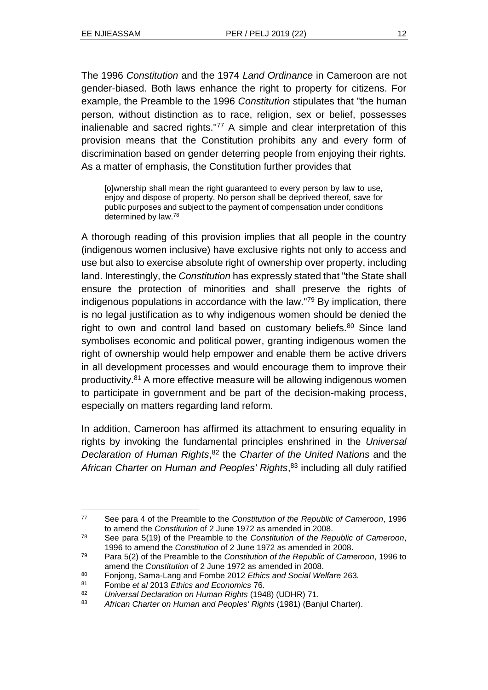The 1996 *Constitution* and the 1974 *Land Ordinance* in Cameroon are not gender-biased. Both laws enhance the right to property for citizens. For example, the Preamble to the 1996 *Constitution* stipulates that "the human person, without distinction as to race, religion, sex or belief, possesses inalienable and sacred rights."<sup>77</sup> A simple and clear interpretation of this provision means that the Constitution prohibits any and every form of discrimination based on gender deterring people from enjoying their rights. As a matter of emphasis, the Constitution further provides that

[o]wnership shall mean the right guaranteed to every person by law to use, enjoy and dispose of property. No person shall be deprived thereof, save for public purposes and subject to the payment of compensation under conditions determined by law.<sup>78</sup>

A thorough reading of this provision implies that all people in the country (indigenous women inclusive) have exclusive rights not only to access and use but also to exercise absolute right of ownership over property, including land. Interestingly, the *Constitution* has expressly stated that "the State shall ensure the protection of minorities and shall preserve the rights of indigenous populations in accordance with the law."<sup>79</sup> By implication, there is no legal justification as to why indigenous women should be denied the right to own and control land based on customary beliefs.<sup>80</sup> Since land symbolises economic and political power, granting indigenous women the right of ownership would help empower and enable them be active drivers in all development processes and would encourage them to improve their productivity.<sup>81</sup> A more effective measure will be allowing indigenous women to participate in government and be part of the decision-making process, especially on matters regarding land reform.

In addition, Cameroon has affirmed its attachment to ensuring equality in rights by invoking the fundamental principles enshrined in the *Universal Declaration of Human Rights*, <sup>82</sup> the *Charter of the United Nations* and the *African Charter on Human and Peoples' Rights*, <sup>83</sup> including all duly ratified

<sup>77</sup> See para 4 of the Preamble to the *Constitution of the Republic of Cameroon*, 1996 to amend the *Constitution* of 2 June 1972 as amended in 2008.

<sup>78</sup> See para 5(19) of the Preamble to the *Constitution of the Republic of Cameroon*, 1996 to amend the *Constitution* of 2 June 1972 as amended in 2008.

<sup>79</sup> Para 5(2) of the Preamble to the *Constitution of the Republic of Cameroon*, 1996 to amend the *Constitution* of 2 June 1972 as amended in 2008.

<sup>80</sup> Fonjong, Sama-Lang and Fombe 2012 *Ethics and Social Welfare* 263*.*

<sup>81</sup> Fombe *et al* 2013 *Ethics and Economics* 76.

<sup>82</sup> *Universal Declaration on Human Rights* (1948) (UDHR) 71.

<sup>83</sup> *African Charter on Human and Peoples' Rights* (1981) (Banjul Charter).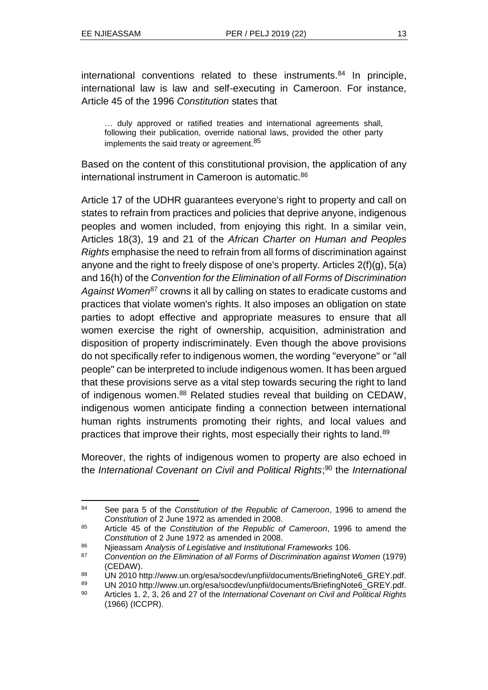international conventions related to these instruments.<sup>84</sup> In principle, international law is law and self-executing in Cameroon. For instance, Article 45 of the 1996 *Constitution* states that

… duly approved or ratified treaties and international agreements shall, following their publication, override national laws, provided the other party implements the said treaty or agreement.<sup>85</sup>

Based on the content of this constitutional provision, the application of any international instrument in Cameroon is automatic.<sup>86</sup>

Article 17 of the UDHR guarantees everyone's right to property and call on states to refrain from practices and policies that deprive anyone, indigenous peoples and women included, from enjoying this right. In a similar vein, Articles 18(3), 19 and 21 of the *African Charter on Human and Peoples Rights* emphasise the need to refrain from all forms of discrimination against anyone and the right to freely dispose of one's property. Articles 2(f)(g), 5(a) and 16(h) of the *Convention for the Elimination of all Forms of Discrimination Against Women*<sup>87</sup> crowns it all by calling on states to eradicate customs and practices that violate women's rights. It also imposes an obligation on state parties to adopt effective and appropriate measures to ensure that all women exercise the right of ownership, acquisition, administration and disposition of property indiscriminately. Even though the above provisions do not specifically refer to indigenous women, the wording "everyone" or "all people" can be interpreted to include indigenous women. It has been argued that these provisions serve as a vital step towards securing the right to land of indigenous women.<sup>88</sup> Related studies reveal that building on CEDAW, indigenous women anticipate finding a connection between international human rights instruments promoting their rights, and local values and practices that improve their rights, most especially their rights to land.<sup>89</sup>

Moreover, the rights of indigenous women to property are also echoed in the *International Covenant on Civil and Political Rights*; <sup>90</sup> the *International* 

l <sup>84</sup> See para 5 of the *Constitution of the Republic of Cameroon*, 1996 to amend the *Constitution* of 2 June 1972 as amended in 2008.

<sup>85</sup> Article 45 of the *Constitution of the Republic of Cameroon*, 1996 to amend the *Constitution* of 2 June 1972 as amended in 2008.

<sup>86</sup> Njieassam *Analysis of Legislative and Institutional Frameworks* 106.

<sup>87</sup> *Convention on the Elimination of all Forms of Discrimination against Women* (1979) (CEDAW).

<sup>88</sup> UN 2010 http://www.un.org/esa/socdev/unpfii/documents/BriefingNote6\_GREY.pdf.

<sup>89</sup> UN 2010 http://www.un.org/esa/socdev/unpfii/documents/BriefingNote6\_GREY.pdf.

<sup>90</sup> Articles 1, 2, 3, 26 and 27 of the *International Covenant on Civil and Political Rights* (1966) (ICCPR).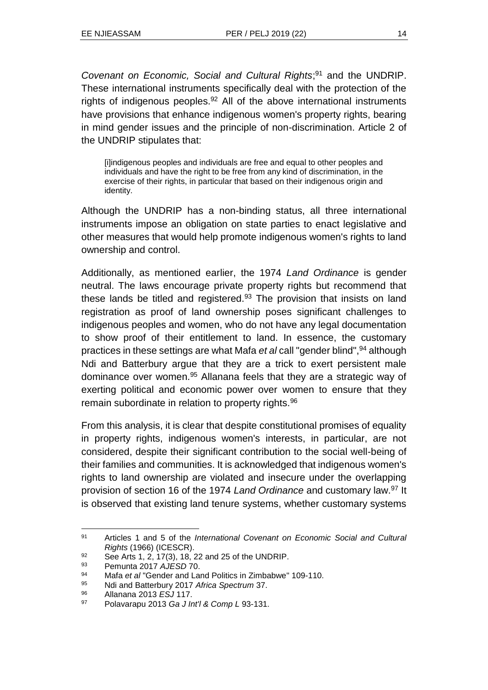*Covenant on Economic, Social and Cultural Rights*; <sup>91</sup> and the UNDRIP. These international instruments specifically deal with the protection of the rights of indigenous peoples.<sup>92</sup> All of the above international instruments have provisions that enhance indigenous women's property rights, bearing in mind gender issues and the principle of non-discrimination. Article 2 of the UNDRIP stipulates that:

[i]indigenous peoples and individuals are free and equal to other peoples and individuals and have the right to be free from any kind of discrimination, in the exercise of their rights, in particular that based on their indigenous origin and identity.

Although the UNDRIP has a non-binding status, all three international instruments impose an obligation on state parties to enact legislative and other measures that would help promote indigenous women's rights to land ownership and control.

Additionally, as mentioned earlier, the 1974 *Land Ordinance* is gender neutral. The laws encourage private property rights but recommend that these lands be titled and registered. $93$  The provision that insists on land registration as proof of land ownership poses significant challenges to indigenous peoples and women, who do not have any legal documentation to show proof of their entitlement to land. In essence, the customary practices in these settings are what Mafa *et al* call "gender blind",<sup>94</sup> although Ndi and Batterbury argue that they are a trick to exert persistent male dominance over women.<sup>95</sup> Allanana feels that they are a strategic way of exerting political and economic power over women to ensure that they remain subordinate in relation to property rights.<sup>96</sup>

From this analysis, it is clear that despite constitutional promises of equality in property rights, indigenous women's interests, in particular, are not considered, despite their significant contribution to the social well-being of their families and communities. It is acknowledged that indigenous women's rights to land ownership are violated and insecure under the overlapping provision of section 16 of the 1974 *Land Ordinance* and customary law.<sup>97</sup> It is observed that existing land tenure systems, whether customary systems

<sup>91</sup> Articles 1 and 5 of the *International Covenant on Economic Social and Cultural Rights* (1966) (ICESCR).

<sup>92</sup> See Arts 1, 2, 17(3), 18, 22 and 25 of the UNDRIP.

<sup>93</sup> Pemunta 2017 *AJESD* 70.

<sup>94</sup> Mafa *et al* "Gender and Land Politics in Zimbabwe" 109-110.

<sup>95</sup> Ndi and Batterbury 2017 *Africa Spectrum* 37.

<sup>96</sup> Allanana 2013 *ESJ* 117.

<sup>97</sup> Polavarapu 2013 *Ga J Int'l & Comp L* 93-131.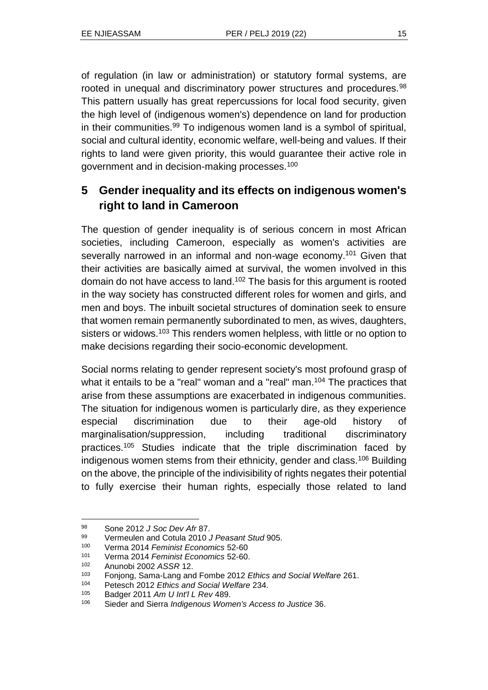of regulation (in law or administration) or statutory formal systems, are rooted in unequal and discriminatory power structures and procedures.<sup>98</sup> This pattern usually has great repercussions for local food security, given the high level of (indigenous women's) dependence on land for production in their communities.<sup>99</sup> To indigenous women land is a symbol of spiritual, social and cultural identity, economic welfare, well-being and values. If their rights to land were given priority, this would guarantee their active role in government and in decision-making processes.<sup>100</sup>

# **5 Gender inequality and its effects on indigenous women's right to land in Cameroon**

The question of gender inequality is of serious concern in most African societies, including Cameroon, especially as women's activities are severally narrowed in an informal and non-wage economy.<sup>101</sup> Given that their activities are basically aimed at survival, the women involved in this domain do not have access to land.<sup>102</sup> The basis for this argument is rooted in the way society has constructed different roles for women and girls, and men and boys. The inbuilt societal structures of domination seek to ensure that women remain permanently subordinated to men, as wives, daughters, sisters or widows.<sup>103</sup> This renders women helpless, with little or no option to make decisions regarding their socio-economic development.

Social norms relating to gender represent society's most profound grasp of what it entails to be a "real" woman and a "real" man.<sup>104</sup> The practices that arise from these assumptions are exacerbated in indigenous communities. The situation for indigenous women is particularly dire, as they experience especial discrimination due to their age-old history of marginalisation/suppression, including traditional discriminatory practices.<sup>105</sup> Studies indicate that the triple discrimination faced by indigenous women stems from their ethnicity, gender and class.<sup>106</sup> Building on the above, the principle of the indivisibility of rights negates their potential to fully exercise their human rights, especially those related to land

<sup>98</sup> Sone 2012 *J Soc Dev Afr* 87.

<sup>99</sup> Vermeulen and Cotula 2010 *J Peasant Stud* 905.

<sup>100</sup> Verma 2014 *Feminist Economics* 52-60

<sup>101</sup> Verma 2014 *Feminist Economics* 52-60.

<sup>102</sup> Anunobi 2002 *ASSR* 12.

<sup>103</sup> Fonjong, Sama-Lang and Fombe 2012 *Ethics and Social Welfare* 261.

<sup>104</sup> Petesch 2012 *Ethics and Social Welfare* 234.

<sup>105</sup> Badger 2011 *Am U Int'l L Rev* 489.

<sup>106</sup> Sieder and Sierra *Indigenous Women's Access to Justice* 36.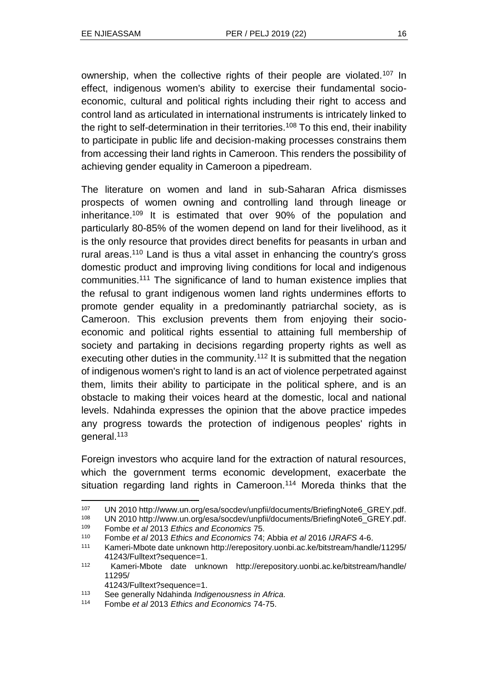ownership, when the collective rights of their people are violated.<sup>107</sup> In effect, indigenous women's ability to exercise their fundamental socioeconomic, cultural and political rights including their right to access and control land as articulated in international instruments is intricately linked to the right to self-determination in their territories.<sup>108</sup> To this end, their inability to participate in public life and decision-making processes constrains them from accessing their land rights in Cameroon. This renders the possibility of achieving gender equality in Cameroon a pipedream.

The literature on women and land in sub-Saharan Africa dismisses prospects of women owning and controlling land through lineage or inheritance.<sup>109</sup> It is estimated that over 90% of the population and particularly 80-85% of the women depend on land for their livelihood, as it is the only resource that provides direct benefits for peasants in urban and rural areas.<sup>110</sup> Land is thus a vital asset in enhancing the country's gross domestic product and improving living conditions for local and indigenous communities.<sup>111</sup> The significance of land to human existence implies that the refusal to grant indigenous women land rights undermines efforts to promote gender equality in a predominantly patriarchal society, as is Cameroon. This exclusion prevents them from enjoying their socioeconomic and political rights essential to attaining full membership of society and partaking in decisions regarding property rights as well as executing other duties in the community.<sup>112</sup> It is submitted that the negation of indigenous women's right to land is an act of violence perpetrated against them, limits their ability to participate in the political sphere, and is an obstacle to making their voices heard at the domestic, local and national levels. Ndahinda expresses the opinion that the above practice impedes any progress towards the protection of indigenous peoples' rights in general.<sup>113</sup>

Foreign investors who acquire land for the extraction of natural resources, which the government terms economic development, exacerbate the situation regarding land rights in Cameroon.<sup>114</sup> Moreda thinks that the

41243/Fulltext?sequence=1.

<sup>107</sup> UN 2010 http://www.un.org/esa/socdev/unpfii/documents/BriefingNote6\_GREY.pdf.

<sup>108</sup> UN 2010 http://www.un.org/esa/socdev/unpfii/documents/BriefingNote6\_GREY.pdf.

<sup>109</sup> Fombe *et al* 2013 *Ethics and Economics* 75.

<sup>110</sup> Fombe *et al* 2013 *Ethics and Economics* 74; Abbia *et al* 2016 *IJRAFS* 4-6.

<sup>111</sup> Kameri-Mbote date unknown http://erepository.uonbi.ac.ke/bitstream/handle/11295/ 41243/Fulltext?sequence=1.

<sup>112</sup> Kameri-Mbote date unknown http://erepository.uonbi.ac.ke/bitstream/handle/ 11295/

<sup>113</sup> See generally Ndahinda *Indigenousness in Africa.*

<sup>114</sup> Fombe *et al* 2013 *Ethics and Economics* 74-75.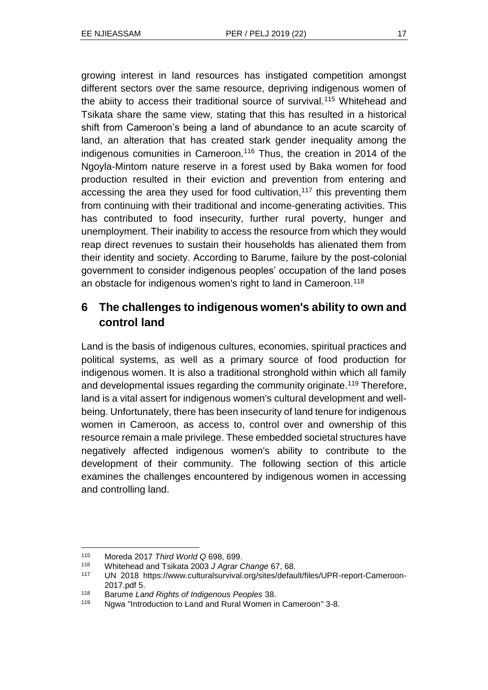growing interest in land resources has instigated competition amongst different sectors over the same resource, depriving indigenous women of the abiity to access their traditional source of survival.<sup>115</sup> Whitehead and Tsikata share the same view, stating that this has resulted in a historical shift from Cameroon's being a land of abundance to an acute scarcity of land, an alteration that has created stark gender inequality among the indigenous comunities in Cameroon.<sup>116</sup> Thus, the creation in 2014 of the Ngoyla-Mintom nature reserve in a forest used by Baka women for food production resulted in their eviction and prevention from entering and accessing the area they used for food cultivation,<sup>117</sup> this preventing them from continuing with their traditional and income-generating activities. This has contributed to food insecurity, further rural poverty, hunger and unemployment. Their inability to access the resource from which they would reap direct revenues to sustain their households has alienated them from their identity and society. According to Barume, failure by the post-colonial government to consider indigenous peoples' occupation of the land poses an obstacle for indigenous women's right to land in Cameroon.<sup>118</sup>

# **6 The challenges to indigenous women's ability to own and control land**

Land is the basis of indigenous cultures, economies, spiritual practices and political systems, as well as a primary source of food production for indigenous women. It is also a traditional stronghold within which all family and developmental issues regarding the community originate.<sup>119</sup> Therefore, land is a vital assert for indigenous women's cultural development and wellbeing. Unfortunately, there has been insecurity of land tenure for indigenous women in Cameroon, as access to, control over and ownership of this resource remain a male privilege. These embedded societal structures have negatively affected indigenous women's ability to contribute to the development of their community. The following section of this article examines the challenges encountered by indigenous women in accessing and controlling land.

l <sup>115</sup> Moreda 2017 *Third World Q* 698, 699.

<sup>116</sup> Whitehead and Tsikata 2003 *J Agrar Change* 67, 68.

<sup>117</sup> UN 2018 https://www.culturalsurvival.org/sites/default/files/UPR-report-Cameroon-2017.pdf 5.

<sup>118</sup> Barume *Land Rights of Indigenous Peoples* 38.

<sup>119</sup> Ngwa "Introduction to Land and Rural Women in Cameroon" 3-8.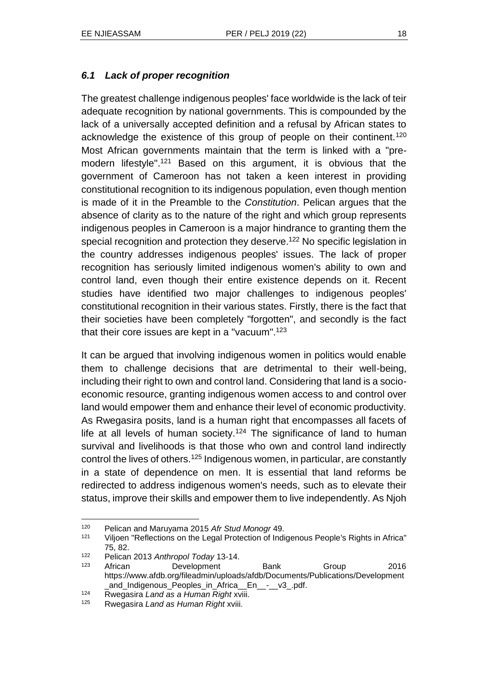#### *6.1 Lack of proper recognition*

The greatest challenge indigenous peoples' face worldwide is the lack of teir adequate recognition by national governments. This is compounded by the lack of a universally accepted definition and a refusal by African states to acknowledge the existence of this group of people on their continent.<sup>120</sup> Most African governments maintain that the term is linked with a "premodern lifestyle".<sup>121</sup> Based on this argument, it is obvious that the government of Cameroon has not taken a keen interest in providing constitutional recognition to its indigenous population, even though mention is made of it in the Preamble to the *Constitution*. Pelican argues that the absence of clarity as to the nature of the right and which group represents indigenous peoples in Cameroon is a major hindrance to granting them the special recognition and protection they deserve.<sup>122</sup> No specific legislation in the country addresses indigenous peoples' issues. The lack of proper recognition has seriously limited indigenous women's ability to own and control land, even though their entire existence depends on it. Recent studies have identified two major challenges to indigenous peoples' constitutional recognition in their various states. Firstly, there is the fact that their societies have been completely "forgotten", and secondly is the fact that their core issues are kept in a "vacuum".<sup>123</sup>

It can be argued that involving indigenous women in politics would enable them to challenge decisions that are detrimental to their well-being, including their right to own and control land. Considering that land is a socioeconomic resource, granting indigenous women access to and control over land would empower them and enhance their level of economic productivity. As Rwegasira posits, land is a human right that encompasses all facets of life at all levels of human society.<sup>124</sup> The significance of land to human survival and livelihoods is that those who own and control land indirectly control the lives of others.<sup>125</sup> Indigenous women, in particular, are constantly in a state of dependence on men. It is essential that land reforms be redirected to address indigenous women's needs, such as to elevate their status, improve their skills and empower them to live independently. As Njoh

<sup>120</sup> Pelican and Maruyama 2015 *Afr Stud Monogr* 49.

<sup>121</sup> Viljoen "Reflections on the Legal Protection of Indigenous People's Rights in Africa" 75, 82.

<sup>122</sup> Pelican 2013 *Anthropol Today* 13-14.

<sup>123</sup> African Development Bank Group 2016 https://www.afdb.org/fileadmin/uploads/afdb/Documents/Publications/Development \_and\_Indigenous\_Peoples\_in\_Africa\_\_En\_\_-\_\_v3\_.pdf.

<sup>124</sup> Rwegasira *Land as a Human Right* xviii.

<sup>125</sup> Rwegasira *Land as Human Right* xviii.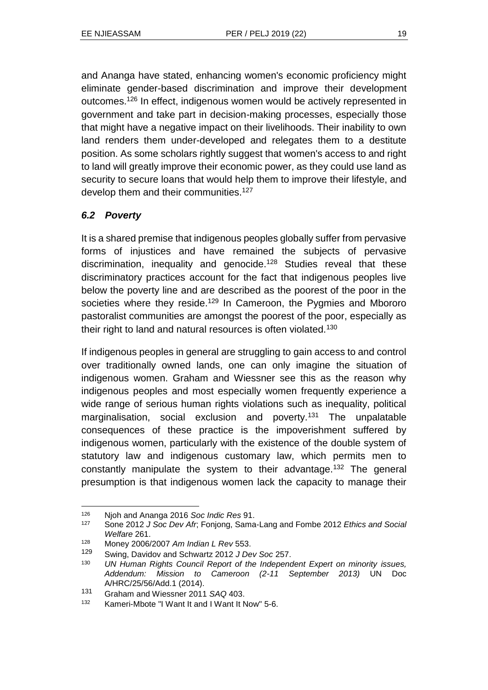and Ananga have stated, enhancing women's economic proficiency might eliminate gender-based discrimination and improve their development outcomes.<sup>126</sup> In effect, indigenous women would be actively represented in government and take part in decision-making processes, especially those that might have a negative impact on their livelihoods. Their inability to own land renders them under-developed and relegates them to a destitute position. As some scholars rightly suggest that women's access to and right to land will greatly improve their economic power, as they could use land as security to secure loans that would help them to improve their lifestyle, and develop them and their communities.<sup>127</sup>

#### *6.2 Poverty*

It is a shared premise that indigenous peoples globally suffer from pervasive forms of injustices and have remained the subjects of pervasive discrimination, inequality and genocide.<sup>128</sup> Studies reveal that these discriminatory practices account for the fact that indigenous peoples live below the poverty line and are described as the poorest of the poor in the societies where they reside.<sup>129</sup> In Cameroon, the Pygmies and Mbororo pastoralist communities are amongst the poorest of the poor, especially as their right to land and natural resources is often violated.<sup>130</sup>

If indigenous peoples in general are struggling to gain access to and control over traditionally owned lands, one can only imagine the situation of indigenous women. Graham and Wiessner see this as the reason why indigenous peoples and most especially women frequently experience a wide range of serious human rights violations such as inequality, political marginalisation, social exclusion and poverty.<sup>131</sup> The unpalatable consequences of these practice is the impoverishment suffered by indigenous women, particularly with the existence of the double system of statutory law and indigenous customary law, which permits men to constantly manipulate the system to their advantage.<sup>132</sup> The general presumption is that indigenous women lack the capacity to manage their

l <sup>126</sup> Njoh and Ananga 2016 *Soc Indic Res* 91.

<sup>127</sup> Sone 2012 *J Soc Dev Afr*; Fonjong, Sama-Lang and Fombe 2012 *Ethics and Social Welfare* 261.

<sup>128</sup> Money 2006/2007 *Am Indian L Rev* 553.

<sup>129</sup> Swing, Davidov and Schwartz 2012 *J Dev Soc* 257.

<sup>130</sup> *UN Human Rights Council Report of the Independent Expert on minority issues, Addendum: Mission to Cameroon (2-11 September 2013)* UN Doc A/HRC/25/56/Add.1 (2014).

<sup>131</sup> Graham and Wiessner 2011 *SAQ* 403.

<sup>132</sup> Kameri-Mbote "I Want It and I Want It Now" 5-6.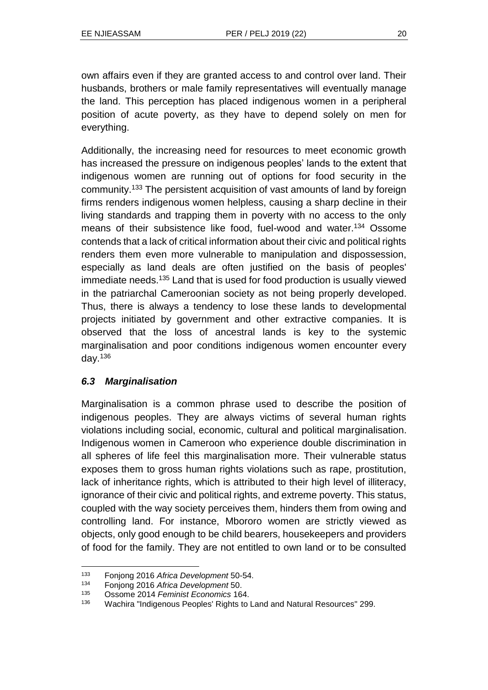own affairs even if they are granted access to and control over land. Their husbands, brothers or male family representatives will eventually manage the land. This perception has placed indigenous women in a peripheral position of acute poverty, as they have to depend solely on men for everything.

Additionally, the increasing need for resources to meet economic growth has increased the pressure on indigenous peoples' lands to the extent that indigenous women are running out of options for food security in the community.<sup>133</sup> The persistent acquisition of vast amounts of land by foreign firms renders indigenous women helpless, causing a sharp decline in their living standards and trapping them in poverty with no access to the only means of their subsistence like food, fuel-wood and water.<sup>134</sup> Ossome contends that a lack of critical information about their civic and political rights renders them even more vulnerable to manipulation and dispossession, especially as land deals are often justified on the basis of peoples' immediate needs.<sup>135</sup> Land that is used for food production is usually viewed in the patriarchal Cameroonian society as not being properly developed. Thus, there is always a tendency to lose these lands to developmental projects initiated by government and other extractive companies. It is observed that the loss of ancestral lands is key to the systemic marginalisation and poor conditions indigenous women encounter every day. $136$ 

#### *6.3 Marginalisation*

Marginalisation is a common phrase used to describe the position of indigenous peoples. They are always victims of several human rights violations including social, economic, cultural and political marginalisation. Indigenous women in Cameroon who experience double discrimination in all spheres of life feel this marginalisation more. Their vulnerable status exposes them to gross human rights violations such as rape, prostitution, lack of inheritance rights, which is attributed to their high level of illiteracy, ignorance of their civic and political rights, and extreme poverty. This status, coupled with the way society perceives them, hinders them from owing and controlling land. For instance, Mbororo women are strictly viewed as objects, only good enough to be child bearers, housekeepers and providers of food for the family. They are not entitled to own land or to be consulted

l <sup>133</sup> Fonjong 2016 *Africa Development* 50-54.

<sup>134</sup> Fonjong 2016 *Africa Development* 50.

<sup>135</sup> Ossome 2014 *Feminist Economics* 164.

<sup>136</sup> Wachira "Indigenous Peoples' Rights to Land and Natural Resources" 299.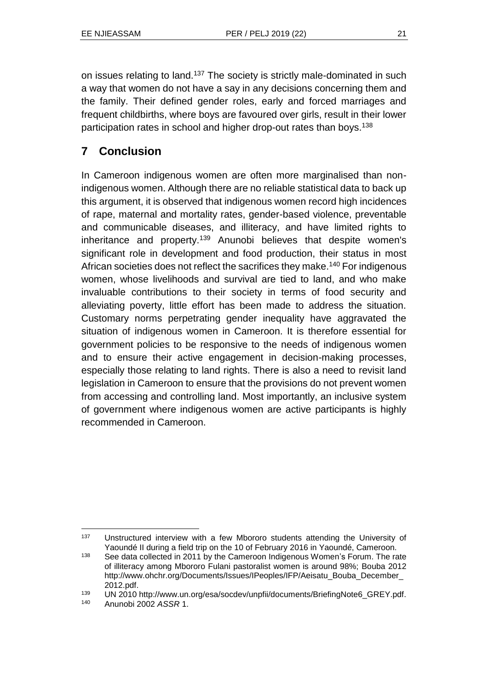on issues relating to land.<sup>137</sup> The society is strictly male-dominated in such a way that women do not have a say in any decisions concerning them and the family. Their defined gender roles, early and forced marriages and frequent childbirths, where boys are favoured over girls, result in their lower participation rates in school and higher drop-out rates than boys.<sup>138</sup>

# **7 Conclusion**

In Cameroon indigenous women are often more marginalised than nonindigenous women. Although there are no reliable statistical data to back up this argument, it is observed that indigenous women record high incidences of rape, maternal and mortality rates, gender-based violence, preventable and communicable diseases, and illiteracy, and have limited rights to inheritance and property.<sup>139</sup> Anunobi believes that despite women's significant role in development and food production, their status in most African societies does not reflect the sacrifices they make.<sup>140</sup> For indigenous women, whose livelihoods and survival are tied to land, and who make invaluable contributions to their society in terms of food security and alleviating poverty, little effort has been made to address the situation. Customary norms perpetrating gender inequality have aggravated the situation of indigenous women in Cameroon. It is therefore essential for government policies to be responsive to the needs of indigenous women and to ensure their active engagement in decision-making processes, especially those relating to land rights. There is also a need to revisit land legislation in Cameroon to ensure that the provisions do not prevent women from accessing and controlling land. Most importantly, an inclusive system of government where indigenous women are active participants is highly recommended in Cameroon.

<sup>&</sup>lt;sup>137</sup> Unstructured interview with a few Mbororo students attending the University of Yaoundé II during a field trip on the 10 of February 2016 in Yaoundé, Cameroon.

<sup>&</sup>lt;sup>138</sup> See data collected in 2011 by the Cameroon Indigenous Women's Forum. The rate of illiteracy among Mbororo Fulani pastoralist women is around 98%; Bouba 2012 http://www.ohchr.org/Documents/Issues/IPeoples/IFP/Aeisatu\_Bouba\_December\_ 2012.pdf.

<sup>139</sup> UN 2010 http://www.un.org/esa/socdev/unpfii/documents/BriefingNote6\_GREY.pdf.

<sup>140</sup> Anunobi 2002 *ASSR* 1.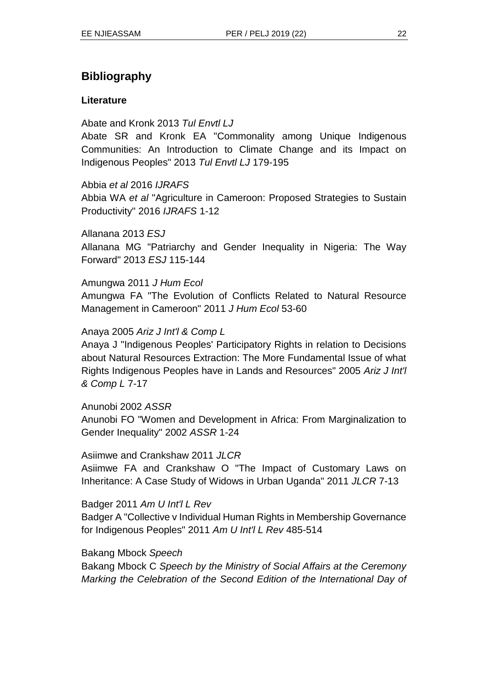## **Bibliography**

#### **Literature**

#### Abate and Kronk 2013 *Tul Envtl LJ*

Abate SR and Kronk EA "Commonality among Unique Indigenous Communities: An Introduction to Climate Change and its Impact on Indigenous Peoples" 2013 *Tul Envtl LJ* 179-195

#### Abbia *et al* 2016 *IJRAFS*

Abbia WA *et al* "Agriculture in Cameroon: Proposed Strategies to Sustain Productivity" 2016 *IJRAFS* 1-12

Allanana 2013 *ESJ* Allanana MG "Patriarchy and Gender Inequality in Nigeria: The Way Forward" 2013 *ESJ* 115-144

#### Amungwa 2011 *J Hum Ecol*

Amungwa FA "The Evolution of Conflicts Related to Natural Resource Management in Cameroon" 2011 *J Hum Ecol* 53-60

#### Anaya 2005 *Ariz J Int'l & Comp L*

Anaya J "Indigenous Peoples' Participatory Rights in relation to Decisions about Natural Resources Extraction: The More Fundamental Issue of what Rights Indigenous Peoples have in Lands and Resources" 2005 *Ariz J Int'l & Comp L* 7-17

#### Anunobi 2002 *ASSR*

Anunobi FO "Women and Development in Africa: From Marginalization to Gender Inequality" 2002 *ASSR* 1-24

#### Asiimwe and Crankshaw 2011 *JLCR*

Asiimwe FA and Crankshaw O "The Impact of Customary Laws on Inheritance: A Case Study of Widows in Urban Uganda" 2011 *JLCR* 7-13

#### Badger 2011 *Am U Int'l L Rev*

Badger A "Collective v Individual Human Rights in Membership Governance for Indigenous Peoples" 2011 *Am U Int'l L Rev* 485-514

#### Bakang Mbock *Speech*

Bakang Mbock C *Speech by the Ministry of Social Affairs at the Ceremony Marking the Celebration of the Second Edition of the International Day of*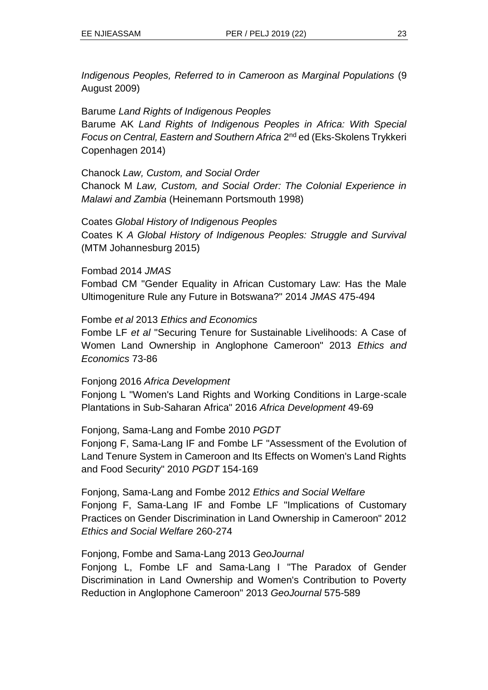*Indigenous Peoples, Referred to in Cameroon as Marginal Populations* (9 August 2009)

Barume *Land Rights of Indigenous Peoples* Barume AK *Land Rights of Indigenous Peoples in Africa: With Special*  Focus on Central, Eastern and Southern Africa 2<sup>nd</sup> ed (Eks-Skolens Trykkeri Copenhagen 2014)

Chanock *Law, Custom, and Social Order* Chanock M *Law, Custom, and Social Order: The Colonial Experience in Malawi and Zambia* (Heinemann Portsmouth 1998)

Coates *Global History of Indigenous Peoples* Coates K *A Global History of Indigenous Peoples: Struggle and Survival* (MTM Johannesburg 2015)

Fombad 2014 *JMAS*

Fombad CM "Gender Equality in African Customary Law: Has the Male Ultimogeniture Rule any Future in Botswana?" 2014 *JMAS* 475-494

Fombe *et al* 2013 *Ethics and Economics*

Fombe LF *et al* "Securing Tenure for Sustainable Livelihoods: A Case of Women Land Ownership in Anglophone Cameroon" 2013 *Ethics and Economics* 73-86

Fonjong 2016 *Africa Development*

Fonjong L "Women's Land Rights and Working Conditions in Large-scale Plantations in Sub-Saharan Africa" 2016 *Africa Development* 49-69

Fonjong, Sama-Lang and Fombe 2010 *PGDT*

Fonjong F, Sama-Lang IF and Fombe LF "Assessment of the Evolution of Land Tenure System in Cameroon and Its Effects on Women's Land Rights and Food Security" 2010 *PGDT* 154-169

Fonjong, Sama-Lang and Fombe 2012 *Ethics and Social Welfare* Fonjong F, Sama-Lang IF and Fombe LF "Implications of Customary Practices on Gender Discrimination in Land Ownership in Cameroon" 2012 *Ethics and Social Welfare* 260-274

Fonjong, Fombe and Sama-Lang 2013 *GeoJournal*

Fonjong L, Fombe LF and Sama-Lang I "The Paradox of Gender Discrimination in Land Ownership and Women's Contribution to Poverty Reduction in Anglophone Cameroon" 2013 *GeoJournal* 575-589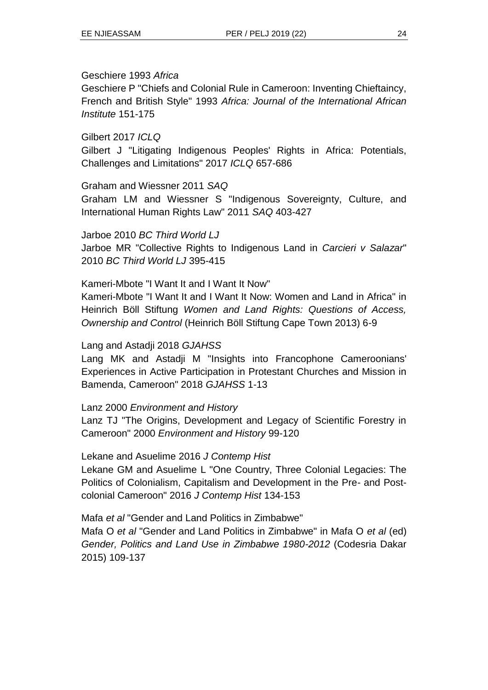#### Geschiere 1993 *Africa*

Geschiere P "Chiefs and Colonial Rule in Cameroon: Inventing Chieftaincy, French and British Style" 1993 *Africa: Journal of the International African Institute* 151-175

Gilbert 2017 *ICLQ*

Gilbert J "Litigating Indigenous Peoples' Rights in Africa: Potentials, Challenges and Limitations" 2017 *ICLQ* 657-686

Graham and Wiessner 2011 *SAQ*

Graham LM and Wiessner S "Indigenous Sovereignty, Culture, and International Human Rights Law" 2011 *SAQ* 403-427

Jarboe 2010 *BC Third World LJ* Jarboe MR "Collective Rights to Indigenous Land in *Carcieri v Salazar*" 2010 *BC Third World LJ* 395-415

Kameri-Mbote "I Want It and I Want It Now"

Kameri-Mbote "I Want It and I Want It Now: Women and Land in Africa" in Heinrich Böll Stiftung *Women and Land Rights: Questions of Access, Ownership and Control* (Heinrich Böll Stiftung Cape Town 2013) 6-9

#### Lang and Astadji 2018 *GJAHSS*

Lang MK and Astadji M "Insights into Francophone Cameroonians' Experiences in Active Participation in Protestant Churches and Mission in Bamenda, Cameroon" 2018 *GJAHSS* 1-13

Lanz 2000 *Environment and History*

Lanz TJ "The Origins, Development and Legacy of Scientific Forestry in Cameroon" 2000 *Environment and History* 99-120

Lekane and Asuelime 2016 *J Contemp Hist*

Lekane GM and Asuelime L "One Country, Three Colonial Legacies: The Politics of Colonialism, Capitalism and Development in the Pre- and Postcolonial Cameroon" 2016 *J Contemp Hist* 134-153

Mafa *et al* "Gender and Land Politics in Zimbabwe"

Mafa O *et al* "Gender and Land Politics in Zimbabwe" in Mafa O *et al* (ed) *Gender, Politics and Land Use in Zimbabwe 1980-2012* (Codesria Dakar 2015) 109-137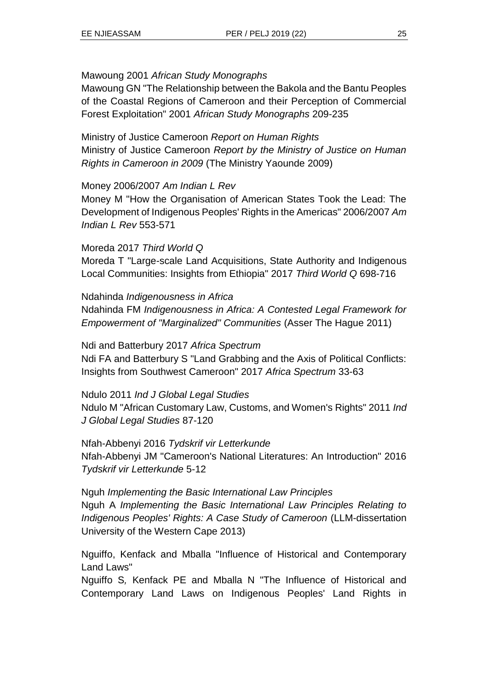#### Mawoung 2001 *African Study Monographs*

Mawoung GN "The Relationship between the Bakola and the Bantu Peoples of the Coastal Regions of Cameroon and their Perception of Commercial Forest Exploitation" 2001 *African Study Monographs* 209-235

Ministry of Justice Cameroon *Report on Human Rights* Ministry of Justice Cameroon *Report by the Ministry of Justice on Human Rights in Cameroon in 2009* (The Ministry Yaounde 2009)

#### Money 2006/2007 *Am Indian L Rev*

Money M "How the Organisation of American States Took the Lead: The Development of Indigenous Peoples' Rights in the Americas" 2006/2007 *Am Indian L Rev* 553-571

#### Moreda 2017 *Third World Q*

Moreda T "Large-scale Land Acquisitions, State Authority and Indigenous Local Communities: Insights from Ethiopia" 2017 *Third World Q* 698-716

Ndahinda *Indigenousness in Africa* Ndahinda FM *Indigenousness in Africa: A Contested Legal Framework for Empowerment of "Marginalized" Communities* (Asser The Hague 2011)

Ndi and Batterbury 2017 *Africa Spectrum* Ndi FA and Batterbury S "Land Grabbing and the Axis of Political Conflicts: Insights from Southwest Cameroon" 2017 *Africa Spectrum* 33-63

Ndulo 2011 *Ind J Global Legal Studies*

Ndulo M "African Customary Law, Customs, and Women's Rights" 2011 *Ind J Global Legal Studies* 87-120

Nfah-Abbenyi 2016 *Tydskrif vir Letterkunde* Nfah-Abbenyi JM "Cameroon's National Literatures: An Introduction" 2016 *Tydskrif vir Letterkunde* 5-12

Nguh *Implementing the Basic International Law Principles* Nguh A *Implementing the Basic International Law Principles Relating to Indigenous Peoples' Rights: A Case Study of Cameroon* (LLM-dissertation University of the Western Cape 2013)

Nguiffo, Kenfack and Mballa "Influence of Historical and Contemporary Land Laws"

Nguiffo S*,* Kenfack PE and Mballa N "The Influence of Historical and Contemporary Land Laws on Indigenous Peoples' Land Rights in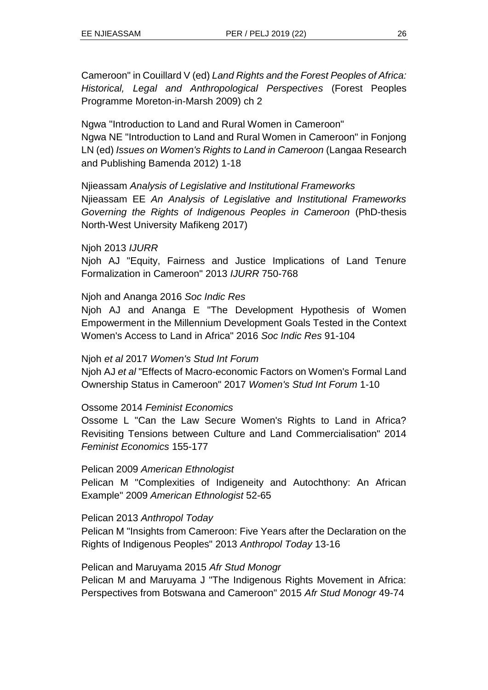Cameroon" in Couillard V (ed) *Land Rights and the Forest Peoples of Africa: Historical, Legal and Anthropological Perspectives* (Forest Peoples Programme Moreton-in-Marsh 2009) ch 2

Ngwa "Introduction to Land and Rural Women in Cameroon" Ngwa NE "Introduction to Land and Rural Women in Cameroon" in Fonjong LN (ed) *Issues on Women's Rights to Land in Cameroon* (Langaa Research and Publishing Bamenda 2012) 1-18

Njieassam *Analysis of Legislative and Institutional Frameworks* Njieassam EE *An Analysis of Legislative and Institutional Frameworks Governing the Rights of Indigenous Peoples in Cameroon* (PhD-thesis North-West University Mafikeng 2017)

Njoh 2013 *IJURR*

Njoh AJ "Equity, Fairness and Justice Implications of Land Tenure Formalization in Cameroon" 2013 *IJURR* 750-768

#### Njoh and Ananga 2016 *Soc Indic Res*

Njoh AJ and Ananga E "The Development Hypothesis of Women Empowerment in the Millennium Development Goals Tested in the Context Women's Access to Land in Africa" 2016 *Soc Indic Res* 91-104

#### Njoh *et al* 2017 *Women's Stud Int Forum*

Njoh AJ *et al* "Effects of Macro-economic Factors on Women's Formal Land Ownership Status in Cameroon" 2017 *Women's Stud Int Forum* 1-10

#### Ossome 2014 *Feminist Economics*

Ossome L "Can the Law Secure Women's Rights to Land in Africa? Revisiting Tensions between Culture and Land Commercialisation" 2014 *Feminist Economics* 155-177

#### Pelican 2009 *American Ethnologist*

Pelican M "Complexities of Indigeneity and Autochthony: An African Example" 2009 *American Ethnologist* 52-65

#### Pelican 2013 *Anthropol Today*

Pelican M "Insights from Cameroon: Five Years after the Declaration on the Rights of Indigenous Peoples" 2013 *Anthropol Today* 13-16

Pelican and Maruyama 2015 *Afr Stud Monogr*

Pelican M and Maruyama J "The Indigenous Rights Movement in Africa: Perspectives from Botswana and Cameroon" 2015 *Afr Stud Monogr* 49-74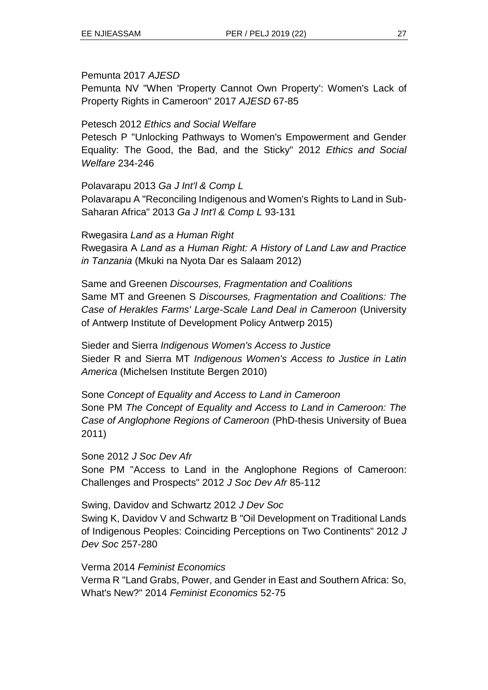#### Pemunta 2017 *AJESD*

Pemunta NV "When 'Property Cannot Own Property': Women's Lack of Property Rights in Cameroon" 2017 *AJESD* 67-85

#### Petesch 2012 *Ethics and Social Welfare*

Petesch P "Unlocking Pathways to Women's Empowerment and Gender Equality: The Good, the Bad, and the Sticky" 2012 *Ethics and Social Welfare* 234-246

#### Polavarapu 2013 *Ga J Int'l & Comp L*

Polavarapu A "Reconciling Indigenous and Women's Rights to Land in Sub-Saharan Africa" 2013 *Ga J Int'l & Comp L* 93-131

Rwegasira *Land as a Human Right*

Rwegasira A *Land as a Human Right: A History of Land Law and Practice in Tanzania* (Mkuki na Nyota Dar es Salaam 2012)

Same and Greenen *Discourses, Fragmentation and Coalitions* Same MT and Greenen S *Discourses, Fragmentation and Coalitions: The Case of Herakles Farms' Large-Scale Land Deal in Cameroon* (University of Antwerp Institute of Development Policy Antwerp 2015)

Sieder and Sierra *Indigenous Women's Access to Justice* Sieder R and Sierra MT *Indigenous Women's Access to Justice in Latin America* (Michelsen Institute Bergen 2010)

Sone *Concept of Equality and Access to Land in Cameroon* Sone PM *The Concept of Equality and Access to Land in Cameroon: The Case of Anglophone Regions of Cameroon* (PhD-thesis University of Buea 2011)

#### Sone 2012 *J Soc Dev Afr*

Sone PM "Access to Land in the Anglophone Regions of Cameroon: Challenges and Prospects" 2012 *J Soc Dev Afr* 85-112

Swing, Davidov and Schwartz 2012 *J Dev Soc*

Swing K, Davidov V and Schwartz B "Oil Development on Traditional Lands of Indigenous Peoples: Coinciding Perceptions on Two Continents" 2012 *J Dev Soc* 257-280

#### Verma 2014 *Feminist Economics*

Verma R "Land Grabs, Power, and Gender in East and Southern Africa: So, What's New?" 2014 *Feminist Economics* 52-75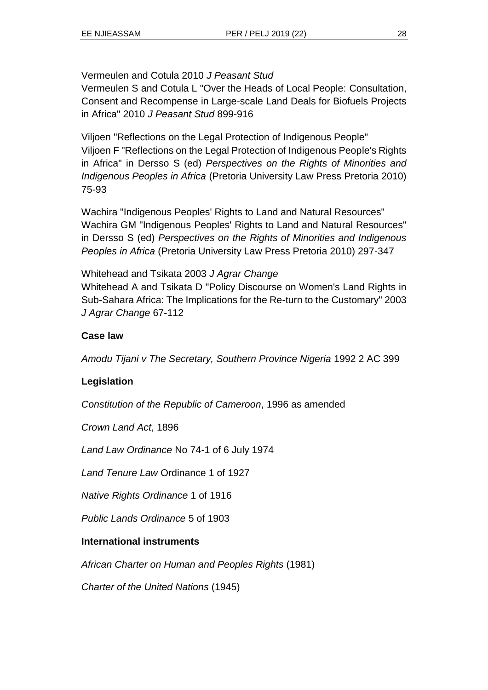#### Vermeulen and Cotula 2010 *J Peasant Stud*

Vermeulen S and Cotula L "Over the Heads of Local People: Consultation, Consent and Recompense in Large-scale Land Deals for Biofuels Projects in Africa" 2010 *J Peasant Stud* 899-916

Viljoen "Reflections on the Legal Protection of Indigenous People" Viljoen F "Reflections on the Legal Protection of Indigenous People's Rights in Africa" in Dersso S (ed) *Perspectives on the Rights of Minorities and Indigenous Peoples in Africa* (Pretoria University Law Press Pretoria 2010) 75-93

Wachira "Indigenous Peoples' Rights to Land and Natural Resources" Wachira GM "Indigenous Peoples' Rights to Land and Natural Resources" in Dersso S (ed) *Perspectives on the Rights of Minorities and Indigenous Peoples in Africa* (Pretoria University Law Press Pretoria 2010) 297-347

#### Whitehead and Tsikata 2003 *J Agrar Change*

Whitehead A and Tsikata D "Policy Discourse on Women's Land Rights in Sub-Sahara Africa: The Implications for the Re-turn to the Customary" 2003 *J Agrar Change* 67-112

#### **Case law**

*Amodu Tijani v The Secretary, Southern Province Nigeria* 1992 2 AC 399

### **Legislation**

*Constitution of the Republic of Cameroon*, 1996 as amended

*Crown Land Act*, 1896

*Land Law Ordinance* No 74-1 of 6 July 1974

*Land Tenure Law* Ordinance 1 of 1927

*Native Rights Ordinance* 1 of 1916

*Public Lands Ordinance* 5 of 1903

#### **International instruments**

*African Charter on Human and Peoples Rights* (1981)

*Charter of the United Nations* (1945)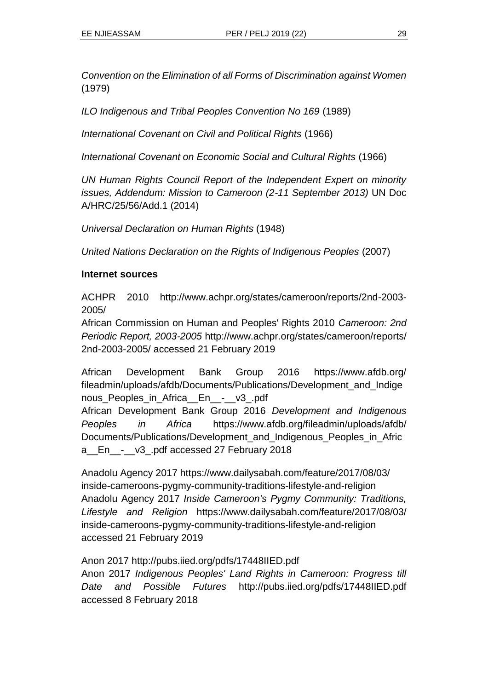*Convention on the Elimination of all Forms of Discrimination against Women* (1979)

*ILO Indigenous and Tribal Peoples Convention No 169* (1989)

*International Covenant on Civil and Political Rights* (1966)

*International Covenant on Economic Social and Cultural Rights* (1966)

*UN Human Rights Council Report of the Independent Expert on minority issues, Addendum: Mission to Cameroon (2-11 September 2013)* UN Doc A/HRC/25/56/Add.1 (2014)

*Universal Declaration on Human Rights* (1948)

*United Nations Declaration on the Rights of Indigenous Peoples* (2007)

#### **Internet sources**

ACHPR 2010 http://www.achpr.org/states/cameroon/reports/2nd-2003- 2005/

African Commission on Human and Peoples' Rights 2010 *Cameroon: 2nd Periodic Report, 2003-2005* http://www.achpr.org/states/cameroon/reports/ 2nd-2003-2005/ accessed 21 February 2019

African Development Bank Group 2016 https://www.afdb.org/ fileadmin/uploads/afdb/Documents/Publications/Development\_and\_Indige nous\_Peoples\_in\_Africa\_\_En\_\_-\_\_v3\_.pdf

African Development Bank Group 2016 *Development and Indigenous Peoples in Africa* https://www.afdb.org/fileadmin/uploads/afdb/ Documents/Publications/Development\_and\_Indigenous\_Peoples\_in\_Afric a\_\_En\_\_-\_\_v3\_.pdf accessed 27 February 2018

Anadolu Agency 2017 https://www.dailysabah.com/feature/2017/08/03/ inside-cameroons-pygmy-community-traditions-lifestyle-and-religion Anadolu Agency 2017 *Inside Cameroon's Pygmy Community: Traditions, Lifestyle and Religion* https://www.dailysabah.com/feature/2017/08/03/ inside-cameroons-pygmy-community-traditions-lifestyle-and-religion accessed 21 February 2019

Anon 2017 http://pubs.iied.org/pdfs/17448IIED.pdf

Anon 2017 *Indigenous Peoples' Land Rights in Cameroon: Progress till Date and Possible Futures* http://pubs.iied.org/pdfs/17448IIED.pdf accessed 8 February 2018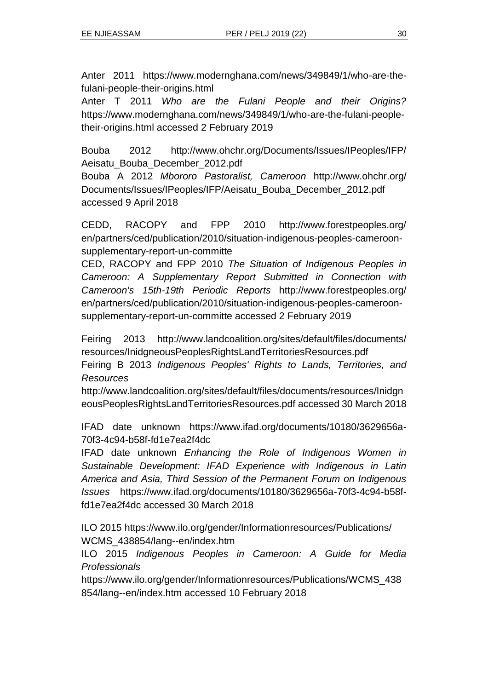Anter 2011 https://www.modernghana.com/news/349849/1/who-are-thefulani-people-their-origins.html

Anter T 2011 *Who are the Fulani People and their Origins?* https://www.modernghana.com/news/349849/1/who-are-the-fulani-peopletheir-origins.html accessed 2 February 2019

Bouba 2012 http://www.ohchr.org/Documents/Issues/IPeoples/IFP/ Aeisatu\_Bouba\_December\_2012.pdf

Bouba A 2012 *Mbororo Pastoralist, Cameroon* http://www.ohchr.org/ Documents/Issues/IPeoples/IFP/Aeisatu\_Bouba\_December\_2012.pdf accessed 9 April 2018

CEDD, RACOPY and FPP 2010 http://www.forestpeoples.org/ en/partners/ced/publication/2010/situation-indigenous-peoples-cameroonsupplementary-report-un-committe

CED, RACOPY and FPP 2010 *The Situation of Indigenous Peoples in Cameroon: A Supplementary Report Submitted in Connection with Cameroon's 15th-19th Periodic Reports* http://www.forestpeoples.org/ en/partners/ced/publication/2010/situation-indigenous-peoples-cameroonsupplementary-report-un-committe accessed 2 February 2019

Feiring 2013 http://www.landcoalition.org/sites/default/files/documents/ resources/InidgneousPeoplesRightsLandTerritoriesResources.pdf Feiring B 2013 *Indigenous Peoples' Rights to Lands, Territories, and Resources*

[http://www.landcoalition.org/sites/default/files/documents/resources/Inidgn](http://www.landcoalition.org/sites/default/files/documents/resources/InidgneousPeoplesRightsLandTerritoriesResources.pdf) [eousPeoplesRightsLandTerritoriesResources.pdf](http://www.landcoalition.org/sites/default/files/documents/resources/InidgneousPeoplesRightsLandTerritoriesResources.pdf) accessed 30 March 2018

IFAD date unknown [https://www.ifad.org/documents/10180/3629656a-](https://www.ifad.org/documents/10180/3629656a-70f3-4c94-b58f-fd1e7ea2f4dc)[70f3-4c94-b58f-fd1e7ea2f4dc](https://www.ifad.org/documents/10180/3629656a-70f3-4c94-b58f-fd1e7ea2f4dc)

IFAD date unknown *Enhancing the Role of Indigenous Women in Sustainable Development: IFAD Experience with Indigenous in Latin America and Asia, Third Session of the Permanent Forum on Indigenous Issues* [https://www.ifad.org/documents/10180/3629656a-70f3-4c94-b58f](https://www.ifad.org/documents/10180/3629656a-70f3-4c94-b58f-fd1e7ea2f4dc)[fd1e7ea2f4dc](https://www.ifad.org/documents/10180/3629656a-70f3-4c94-b58f-fd1e7ea2f4dc) accessed 30 March 2018

ILO 2015 https://www.ilo.org/gender/Informationresources/Publications/ WCMS\_438854/lang--en/index.htm

ILO 2015 *Indigenous Peoples in Cameroon: A Guide for Media Professionals*

https://www.ilo.org/gender/Informationresources/Publications/WCMS\_438 854/lang--en/index.htm accessed 10 February 2018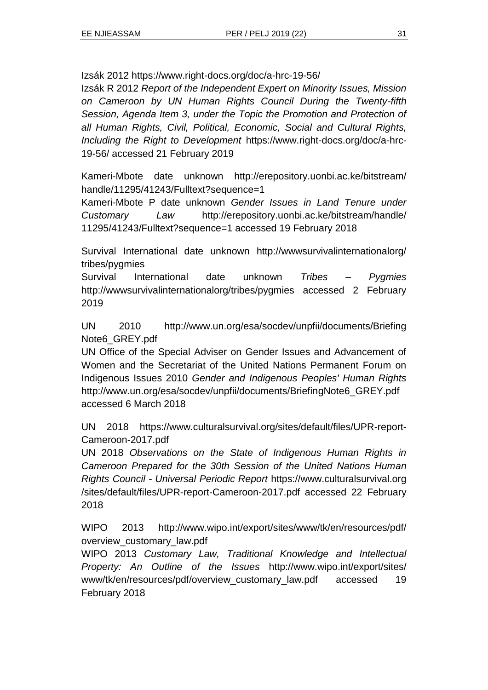Izsák 2012 https://www.right-docs.org/doc/a-hrc-19-56/

Izsák R 2012 *Report of the Independent Expert on Minority Issues, Mission on Cameroon by UN Human Rights Council During the Twenty-fifth Session, Agenda Item 3, under the Topic the Promotion and Protection of all Human Rights, Civil, Political, Economic, Social and Cultural Rights, Including the Right to Development* https://www.right-docs.org/doc/a-hrc-19-56/ accessed 21 February 2019

Kameri-Mbote date unknown http://erepository.uonbi.ac.ke/bitstream/ handle/11295/41243/Fulltext?sequence=1

Kameri-Mbote P date unknown *Gender Issues in Land Tenure under Customary Law* http://erepository.uonbi.ac.ke/bitstream/handle/ 11295/41243/Fulltext?sequence=1 accessed 19 February 2018

Survival International date unknown http://wwwsurvivalinternationalorg/ tribes/pygmies

Survival International date unknown *Tribes – Pygmies* http://wwwsurvivalinternationalorg/tribes/pygmies accessed 2 February 2019

UN 2010 http://www.un.org/esa/socdev/unpfii/documents/Briefing Note6\_GREY.pdf

UN Office of the Special Adviser on Gender Issues and Advancement of Women and the Secretariat of the United Nations Permanent Forum on Indigenous Issues 2010 *Gender and Indigenous Peoples' Human Rights* http://www.un.org/esa/socdev/unpfii/documents/BriefingNote6\_GREY.pdf accessed 6 March 2018

UN 2018 https://www.culturalsurvival.org/sites/default/files/UPR-report-Cameroon-2017.pdf

UN 2018 *Observations on the State of Indigenous Human Rights in Cameroon Prepared for the 30th Session of the United Nations Human Rights Council - Universal Periodic Report* https://www.culturalsurvival.org /sites/default/files/UPR-report-Cameroon-2017.pdf accessed 22 February 2018

WIPO 2013 http://www.wipo.int/export/sites/www/tk/en/resources/pdf/ overview\_customary\_law.pdf

WIPO 2013 *Customary Law, Traditional Knowledge and Intellectual Property: An Outline of the Issues* http://www.wipo.int/export/sites/ www/tk/en/resources/pdf/overview\_customary\_law.pdf accessed 19 February 2018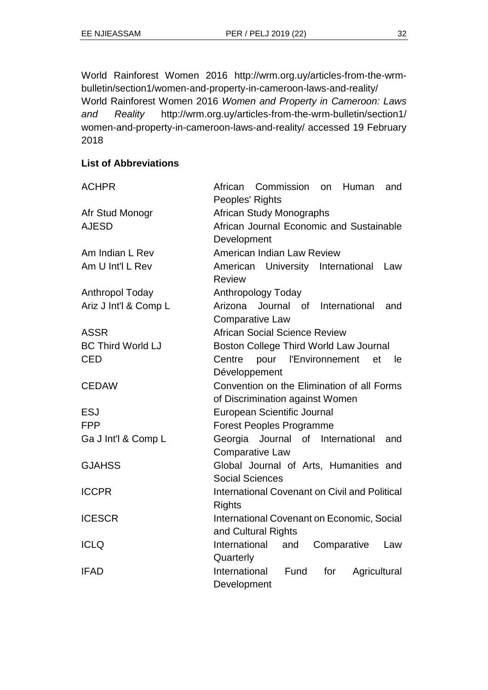World Rainforest Women 2016 [http://wrm.org.uy/articles-from-the-wrm](http://wrm.org.uy/articles-from-the-wrm-bulletin/section1/women-and-)[bulletin/section1/women-and-p](http://wrm.org.uy/articles-from-the-wrm-bulletin/section1/women-and-)roperty-in-cameroon-laws-and-reality/ World Rainforest Women 2016 *Women and Property in Cameroon: Laws and Reality* http://wrm.org.uy/articles-from-the-wrm-bulletin/section1/ women-and-property-in-cameroon-laws-and-reality/ accessed 19 February 2018

#### **List of Abbreviations**

| <b>ACHPR</b>             | Commission<br>African<br>Human<br><b>on</b><br>and        |
|--------------------------|-----------------------------------------------------------|
|                          | Peoples' Rights                                           |
| Afr Stud Monogr          | <b>African Study Monographs</b>                           |
| <b>AJESD</b>             | African Journal Economic and Sustainable                  |
|                          | Development                                               |
| Am Indian L Rev          | American Indian Law Review                                |
| Am U Int'l L Rev         | American University International<br>Law<br><b>Review</b> |
| Anthropol Today          | Anthropology Today                                        |
| Ariz J Int'l & Comp L    | Arizona Journal of International<br>and                   |
|                          | <b>Comparative Law</b>                                    |
| <b>ASSR</b>              | <b>African Social Science Review</b>                      |
| <b>BC Third World LJ</b> | Boston College Third World Law Journal                    |
| <b>CED</b>               | pour l'Environnement<br>Centre<br>et<br>le                |
|                          | Développement                                             |
| <b>CEDAW</b>             | Convention on the Elimination of all Forms                |
|                          | of Discrimination against Women                           |
| <b>ESJ</b>               | European Scientific Journal                               |
| <b>FPP</b>               | <b>Forest Peoples Programme</b>                           |
| Ga J Int'l & Comp L      | Georgia Journal<br>of International<br>and                |
|                          | <b>Comparative Law</b>                                    |
| <b>GJAHSS</b>            | Global Journal of Arts, Humanities and                    |
|                          | <b>Social Sciences</b>                                    |
| <b>ICCPR</b>             | International Covenant on Civil and Political             |
|                          | <b>Rights</b>                                             |
| <b>ICESCR</b>            | International Covenant on Economic, Social                |
|                          | and Cultural Rights                                       |
| <b>ICLQ</b>              | International<br>Comparative<br>and<br>Law                |
|                          | Quarterly                                                 |
| <b>IFAD</b>              | International<br>Fund<br>for<br>Agricultural              |
|                          | Development                                               |